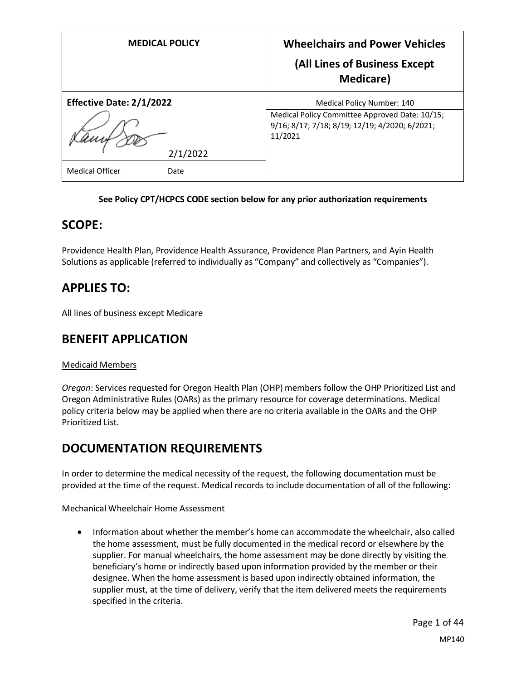| <b>MEDICAL POLICY</b>           | <b>Wheelchairs and Power Vehicles</b><br>(All Lines of Business Except<br>Medicare)                         |
|---------------------------------|-------------------------------------------------------------------------------------------------------------|
| <b>Effective Date: 2/1/2022</b> | Medical Policy Number: 140                                                                                  |
|                                 | Medical Policy Committee Approved Date: 10/15;<br>9/16; 8/17; 7/18; 8/19; 12/19; 4/2020; 6/2021;<br>11/2021 |
| 2/1/2022                        |                                                                                                             |
| <b>Medical Officer</b><br>Date  |                                                                                                             |

## **See Policy CPT/HCPCS CODE section below for any prior authorization requirements**

## **SCOPE:**

Providence Health Plan, Providence Health Assurance, Providence Plan Partners, and Ayin Health Solutions as applicable (referred to individually as "Company" and collectively as "Companies").

## **APPLIES TO:**

All lines of business except Medicare

## **BENEFIT APPLICATION**

## Medicaid Members

*Oregon*: Services requested for Oregon Health Plan (OHP) members follow the OHP Prioritized List and Oregon Administrative Rules (OARs) as the primary resource for coverage determinations. Medical policy criteria below may be applied when there are no criteria available in the OARs and the OHP Prioritized List.

## **DOCUMENTATION REQUIREMENTS**

In order to determine the medical necessity of the request, the following documentation must be provided at the time of the request. Medical records to include documentation of all of the following:

## Mechanical Wheelchair Home Assessment

• Information about whether the member's home can accommodate the wheelchair, also called the home assessment, must be fully documented in the medical record or elsewhere by the supplier. For manual wheelchairs, the home assessment may be done directly by visiting the beneficiary's home or indirectly based upon information provided by the member or their designee. When the home assessment is based upon indirectly obtained information, the supplier must, at the time of delivery, verify that the item delivered meets the requirements specified in the criteria.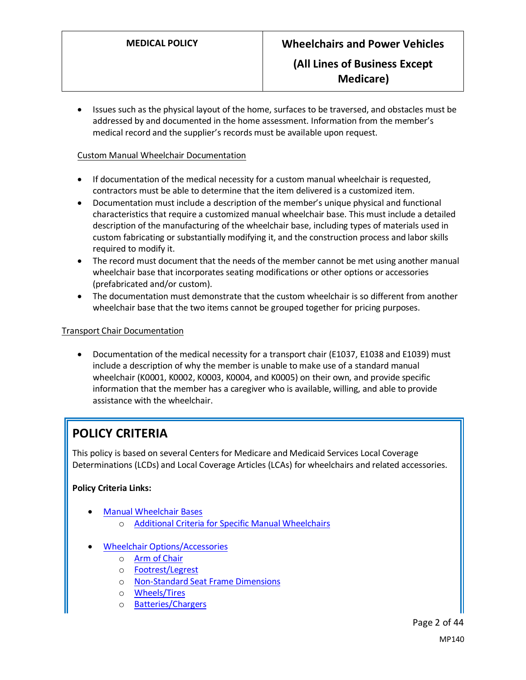• Issues such as the physical layout of the home, surfaces to be traversed, and obstacles must be addressed by and documented in the home assessment. Information from the member's medical record and the supplier's records must be available upon request.

### Custom Manual Wheelchair Documentation

- If documentation of the medical necessity for a custom manual wheelchair is requested, contractors must be able to determine that the item delivered is a customized item.
- Documentation must include a description of the member's unique physical and functional characteristics that require a customized manual wheelchair base. This must include a detailed description of the manufacturing of the wheelchair base, including types of materials used in custom fabricating or substantially modifying it, and the construction process and labor skills required to modify it.
- The record must document that the needs of the member cannot be met using another manual wheelchair base that incorporates seating modifications or other options or accessories (prefabricated and/or custom).
- The documentation must demonstrate that the custom wheelchair is so different from another wheelchair base that the two items cannot be grouped together for pricing purposes.

### Transport Chair Documentation

• Documentation of the medical necessity for a transport chair (E1037, E1038 and E1039) must include a description of why the member is unable to make use of a standard manual wheelchair (K0001, K0002, K0003, K0004, and K0005) on their own, and provide specific information that the member has a caregiver who is available, willing, and able to provide assistance with the wheelchair.

## **POLICY CRITERIA**

This policy is based on several Centers for Medicare and Medicaid Services Local Coverage Determinations (LCDs) and Local Coverage Articles (LCAs) for wheelchairs and related accessories.

## **Policy Criteria Links:**

- [Manual Wheelchair Bases](#page-2-0)
	- o [Additional Criteria for Specific Manual Wheelchairs](#page-3-0)
- [Wheelchair Options/Accessories](#page-5-0)
	- o [Arm of Chair](#page-5-1)
	- o [Footrest/Legrest](#page-5-2)
	- o [Non-Standard Seat Frame Dimensions](#page-5-3)
	- o [Wheels/Tires](#page-5-4)
	- o [Batteries/Chargers](#page-6-0)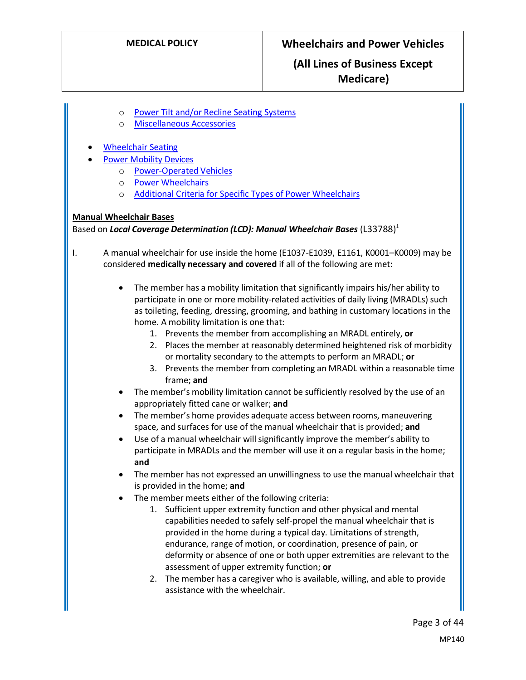## **(All Lines of Business Except Medicare)**

- o [Power Tilt and/or Recline Seating Systems](#page-6-1)
- o [Miscellaneous Accessories](#page-7-0)
- [Wheelchair Seating](#page-8-0)
- [Power Mobility Devices](#page-11-0)
	- o [Power-Operated Vehicles](#page-11-1)
	- o [Power Wheelchairs](#page-12-0)
	- o [Additional Criteria for Specific Types of Power Wheelchairs](#page-13-0)

#### <span id="page-2-0"></span>**Manual Wheelchair Bases**

Based on *Local Coverage Determination (LCD): Manual Wheelchair Bases* (L33788)<sup>1</sup>

- I. A manual wheelchair for use inside the home (E1037-E1039, E1161, K0001–K0009) may be considered **medically necessary and covered** if all of the following are met:
	- The member has a mobility limitation that significantly impairs his/her ability to participate in one or more mobility-related activities of daily living (MRADLs) such as toileting, feeding, dressing, grooming, and bathing in customary locations in the home. A mobility limitation is one that:
		- 1. Prevents the member from accomplishing an MRADL entirely, **or**
		- 2. Places the member at reasonably determined heightened risk of morbidity or mortality secondary to the attempts to perform an MRADL; **or**
		- 3. Prevents the member from completing an MRADL within a reasonable time frame; **and**
	- The member's mobility limitation cannot be sufficiently resolved by the use of an appropriately fitted cane or walker; **and**
	- The member's home provides adequate access between rooms, maneuvering space, and surfaces for use of the manual wheelchair that is provided; **and**
	- Use of a manual wheelchair will significantly improve the member's ability to participate in MRADLs and the member will use it on a regular basis in the home; **and**
	- The member has not expressed an unwillingness to use the manual wheelchair that is provided in the home; **and**
	- The member meets either of the following criteria:
		- 1. Sufficient upper extremity function and other physical and mental capabilities needed to safely self-propel the manual wheelchair that is provided in the home during a typical day. Limitations of strength, endurance, range of motion, or coordination, presence of pain, or deformity or absence of one or both upper extremities are relevant to the assessment of upper extremity function; **or**
		- 2. The member has a caregiver who is available, willing, and able to provide assistance with the wheelchair.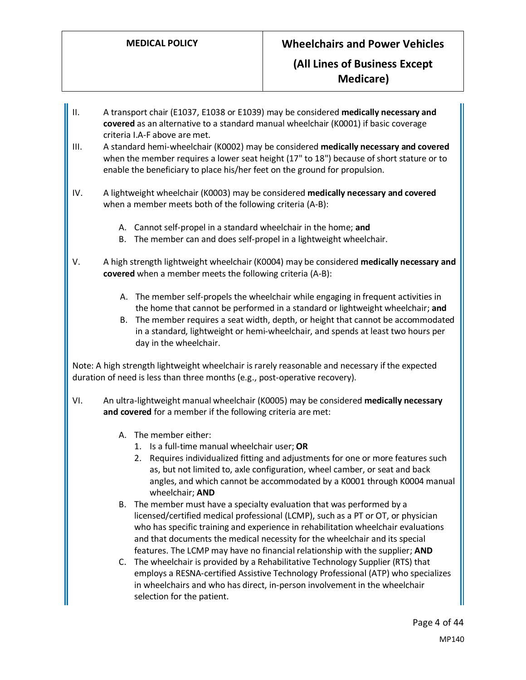- <span id="page-3-0"></span>II. A transport chair (E1037, E1038 or E1039) may be considered **medically necessary and covered** as an alternative to a standard manual wheelchair (K0001) if basic coverage criteria I.A-F above are met.
- III. A standard hemi-wheelchair (K0002) may be considered **medically necessary and covered** when the member requires a lower seat height (17" to 18") because of short stature or to enable the beneficiary to place his/her feet on the ground for propulsion.
- IV. A lightweight wheelchair (K0003) may be considered **medically necessary and covered** when a member meets both of the following criteria (A-B):
	- A. Cannot self-propel in a standard wheelchair in the home; **and**
	- B. The member can and does self-propel in a lightweight wheelchair.
- V. A high strength lightweight wheelchair (K0004) may be considered **medically necessary and covered** when a member meets the following criteria (A-B):
	- A. The member self-propels the wheelchair while engaging in frequent activities in the home that cannot be performed in a standard or lightweight wheelchair; **and**
	- B. The member requires a seat width, depth, or height that cannot be accommodated in a standard, lightweight or hemi-wheelchair, and spends at least two hours per day in the wheelchair.

Note: A high strength lightweight wheelchair is rarely reasonable and necessary if the expected duration of need is less than three months (e.g., post-operative recovery).

- VI. An ultra-lightweight manual wheelchair (K0005) may be considered **medically necessary and covered** for a member if the following criteria are met:
	- A. The member either:
		- 1. Is a full-time manual wheelchair user; **OR**
		- 2. Requires individualized fitting and adjustments for one or more features such as, but not limited to, axle configuration, wheel camber, or seat and back angles, and which cannot be accommodated by a K0001 through K0004 manual wheelchair; **AND**
	- B. The member must have a specialty evaluation that was performed by a licensed/certified medical professional (LCMP), such as a PT or OT, or physician who has specific training and experience in rehabilitation wheelchair evaluations and that documents the medical necessity for the wheelchair and its special features. The LCMP may have no financial relationship with the supplier; **AND**
	- C. The wheelchair is provided by a Rehabilitative Technology Supplier (RTS) that employs a RESNA-certified Assistive Technology Professional (ATP) who specializes in wheelchairs and who has direct, in-person involvement in the wheelchair selection for the patient.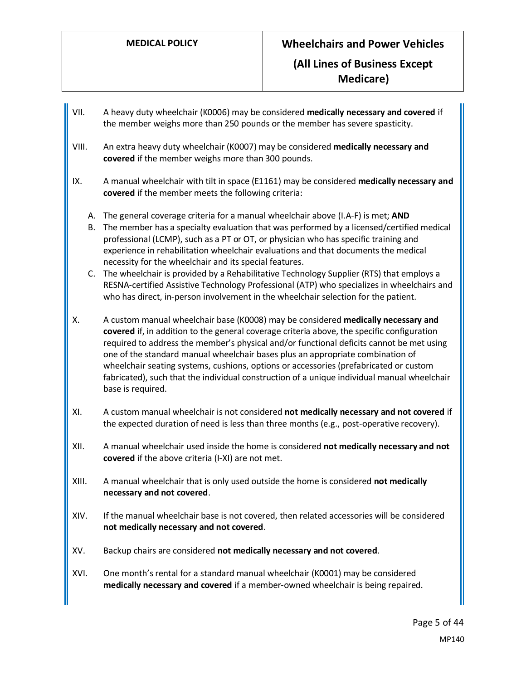- VII. A heavy duty wheelchair (K0006) may be considered **medically necessary and covered** if the member weighs more than 250 pounds or the member has severe spasticity.
- VIII. An extra heavy duty wheelchair (K0007) may be considered **medically necessary and covered** if the member weighs more than 300 pounds.
- IX. A manual wheelchair with tilt in space (E1161) may be considered **medically necessary and covered** if the member meets the following criteria:
	- A. The general coverage criteria for a manual wheelchair above (I.A-F) is met; **AND**
	- B. The member has a specialty evaluation that was performed by a licensed/certified medical professional (LCMP), such as a PT or OT, or physician who has specific training and experience in rehabilitation wheelchair evaluations and that documents the medical necessity for the wheelchair and its special features.
	- C. The wheelchair is provided by a Rehabilitative Technology Supplier (RTS) that employs a RESNA-certified Assistive Technology Professional (ATP) who specializes in wheelchairs and who has direct, in-person involvement in the wheelchair selection for the patient.
- X. A custom manual wheelchair base (K0008) may be considered **medically necessary and covered** if, in addition to the general coverage criteria above, the specific configuration required to address the member's physical and/or functional deficits cannot be met using one of the standard manual wheelchair bases plus an appropriate combination of wheelchair seating systems, cushions, options or accessories (prefabricated or custom fabricated), such that the individual construction of a unique individual manual wheelchair base is required.
- XI. A custom manual wheelchair is not considered **not medically necessary and not covered** if the expected duration of need is less than three months (e.g., post-operative recovery).
- XII. A manual wheelchair used inside the home is considered **not medically necessary and not covered** if the above criteria (I-XI) are not met.
- XIII. A manual wheelchair that is only used outside the home is considered **not medically necessary and not covered**.
- XIV. If the manual wheelchair base is not covered, then related accessories will be considered **not medically necessary and not covered**.
- XV. Backup chairs are considered **not medically necessary and not covered**.
- XVI. One month's rental for a standard manual wheelchair (K0001) may be considered **medically necessary and covered** if a member-owned wheelchair is being repaired.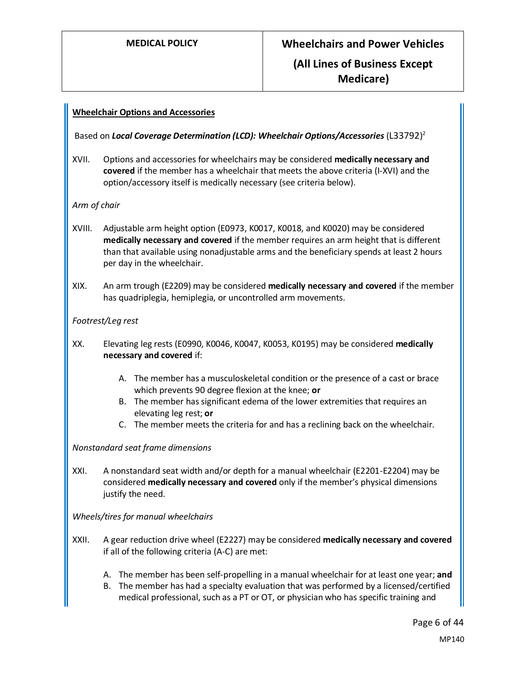## <span id="page-5-0"></span>**Wheelchair Options and Accessories**

## Based on *Local Coverage Determination (LCD): Wheelchair Options/Accessories* (L33792) 2

XVII. Options and accessories for wheelchairs may be considered **medically necessary and covered** if the member has a wheelchair that meets the above criteria (I-XVI) and the option/accessory itself is medically necessary (see criteria below).

### <span id="page-5-1"></span>*Arm of chair*

- XVIII. Adjustable arm height option (E0973, K0017, K0018, and K0020) may be considered **medically necessary and covered** if the member requires an arm height that is different than that available using nonadjustable arms and the beneficiary spends at least 2 hours per day in the wheelchair.
- XIX. An arm trough (E2209) may be considered **medically necessary and covered** if the member has quadriplegia, hemiplegia, or uncontrolled arm movements.

### <span id="page-5-2"></span>*Footrest/Leg rest*

- XX. Elevating leg rests (E0990, K0046, K0047, K0053, K0195) may be considered **medically necessary and covered** if:
	- A. The member has a musculoskeletal condition or the presence of a cast or brace which prevents 90 degree flexion at the knee; **or**
	- B. The member has significant edema of the lower extremities that requires an elevating leg rest; **or**
	- C. The member meets the criteria for and has a reclining back on the wheelchair.

#### <span id="page-5-3"></span>*Nonstandard seat frame dimensions*

XXI. A nonstandard seat width and/or depth for a manual wheelchair (E2201-E2204) may be considered **medically necessary and covered** only if the member's physical dimensions justify the need.

<span id="page-5-4"></span>*Wheels/tires for manual wheelchairs*

- XXII. A gear reduction drive wheel (E2227) may be considered **medically necessary and covered** if all of the following criteria (A-C) are met:
	- A. The member has been self-propelling in a manual wheelchair for at least one year; **and**
	- B. The member has had a specialty evaluation that was performed by a licensed/certified medical professional, such as a PT or OT, or physician who has specific training and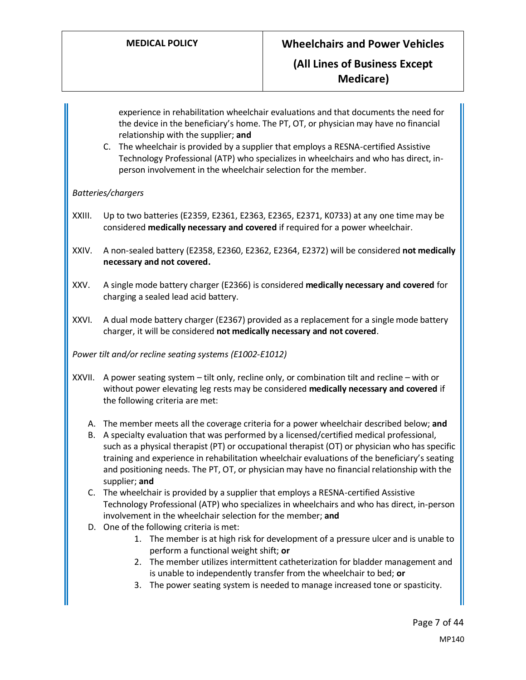experience in rehabilitation wheelchair evaluations and that documents the need for the device in the beneficiary's home. The PT, OT, or physician may have no financial relationship with the supplier; **and**

C. The wheelchair is provided by a supplier that employs a RESNA-certified Assistive Technology Professional (ATP) who specializes in wheelchairs and who has direct, inperson involvement in the wheelchair selection for the member.

## <span id="page-6-0"></span>*Batteries/chargers*

- XXIII. Up to two batteries (E2359, E2361, E2363, E2365, E2371, K0733) at any one time may be considered **medically necessary and covered** if required for a power wheelchair.
- XXIV. A non-sealed battery (E2358, E2360, E2362, E2364, E2372) will be considered **not medically necessary and not covered.**
- XXV. A single mode battery charger (E2366) is considered **medically necessary and covered** for charging a sealed lead acid battery.
- XXVI. A dual mode battery charger (E2367) provided as a replacement for a single mode battery charger, it will be considered **not medically necessary and not covered**.

<span id="page-6-1"></span>*Power tilt and/or recline seating systems (E1002-E1012)*

- XXVII. A power seating system tilt only, recline only, or combination tilt and recline with or without power elevating leg rests may be considered **medically necessary and covered** if the following criteria are met:
	- A. The member meets all the coverage criteria for a power wheelchair described below; **and**
	- B. A specialty evaluation that was performed by a licensed/certified medical professional, such as a physical therapist (PT) or occupational therapist (OT) or physician who has specific training and experience in rehabilitation wheelchair evaluations of the beneficiary's seating and positioning needs. The PT, OT, or physician may have no financial relationship with the supplier; **and**
	- C. The wheelchair is provided by a supplier that employs a RESNA-certified Assistive Technology Professional (ATP) who specializes in wheelchairs and who has direct, in-person involvement in the wheelchair selection for the member; **and**
	- D. One of the following criteria is met:
		- 1. The member is at high risk for development of a pressure ulcer and is unable to perform a functional weight shift; **or**
		- 2. The member utilizes intermittent catheterization for bladder management and is unable to independently transfer from the wheelchair to bed; **or**
		- 3. The power seating system is needed to manage increased tone or spasticity.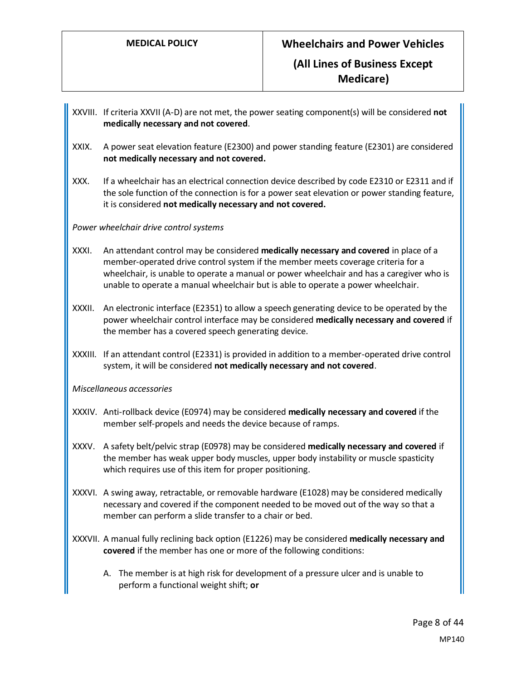- XXVIII. If criteria XXVII (A-D) are not met, the power seating component(s) will be considered **not medically necessary and not covered**.
- XXIX. A power seat elevation feature (E2300) and power standing feature (E2301) are considered **not medically necessary and not covered.**
- XXX. If a wheelchair has an electrical connection device described by code E2310 or E2311 and if the sole function of the connection is for a power seat elevation or power standing feature, it is considered **not medically necessary and not covered.**

### *Power wheelchair drive control systems*

- XXXI. An attendant control may be considered **medically necessary and covered** in place of a member-operated drive control system if the member meets coverage criteria for a wheelchair, is unable to operate a manual or power wheelchair and has a caregiver who is unable to operate a manual wheelchair but is able to operate a power wheelchair.
- XXXII. An electronic interface (E2351) to allow a speech generating device to be operated by the power wheelchair control interface may be considered **medically necessary and covered** if the member has a covered speech generating device.
- XXXIII. If an attendant control (E2331) is provided in addition to a member-operated drive control system, it will be considered **not medically necessary and not covered**.

<span id="page-7-0"></span>*Miscellaneous accessories*

- XXXIV. Anti-rollback device (E0974) may be considered **medically necessary and covered** if the member self-propels and needs the device because of ramps.
- XXXV. A safety belt/pelvic strap (E0978) may be considered **medically necessary and covered** if the member has weak upper body muscles, upper body instability or muscle spasticity which requires use of this item for proper positioning.
- XXXVI. A swing away, retractable, or removable hardware (E1028) may be considered medically necessary and covered if the component needed to be moved out of the way so that a member can perform a slide transfer to a chair or bed.
- XXXVII. A manual fully reclining back option (E1226) may be considered **medically necessary and covered** if the member has one or more of the following conditions:
	- A. The member is at high risk for development of a pressure ulcer and is unable to perform a functional weight shift; **or**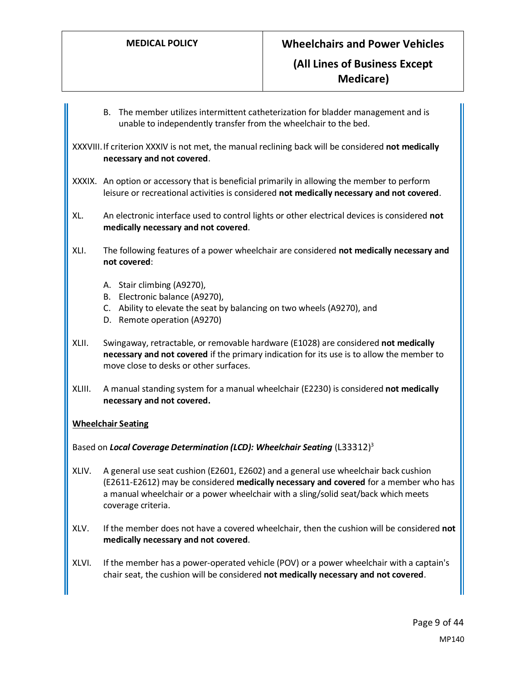B. The member utilizes intermittent catheterization for bladder management and is unable to independently transfer from the wheelchair to the bed.

XXXVIII.If criterion XXXIV is not met, the manual reclining back will be considered **not medically necessary and not covered**.

- XXXIX. An option or accessory that is beneficial primarily in allowing the member to perform leisure or recreational activities is considered **not medically necessary and not covered**.
- XL. An electronic interface used to control lights or other electrical devices is considered **not medically necessary and not covered**.
- XLI. The following features of a power wheelchair are considered **not medically necessary and not covered**:
	- A. Stair climbing (A9270),
	- B. Electronic balance (A9270),
	- C. Ability to elevate the seat by balancing on two wheels (A9270), and
	- D. Remote operation (A9270)
- XLII. Swingaway, retractable, or removable hardware (E1028) are considered **not medically necessary and not covered** if the primary indication for its use is to allow the member to move close to desks or other surfaces.
- XLIII. A manual standing system for a manual wheelchair (E2230) is considered **not medically necessary and not covered.**

## <span id="page-8-0"></span>**Wheelchair Seating**

Based on *Local Coverage Determination (LCD): Wheelchair Seating* (L33312) 3

- XLIV. A general use seat cushion (E2601, E2602) and a general use wheelchair back cushion (E2611-E2612) may be considered **medically necessary and covered** for a member who has a manual wheelchair or a power wheelchair with a sling/solid seat/back which meets coverage criteria.
- XLV. If the member does not have a covered wheelchair, then the cushion will be considered **not medically necessary and not covered**.
- XLVI. If the member has a power-operated vehicle (POV) or a power wheelchair with a captain's chair seat, the cushion will be considered **not medically necessary and not covered**.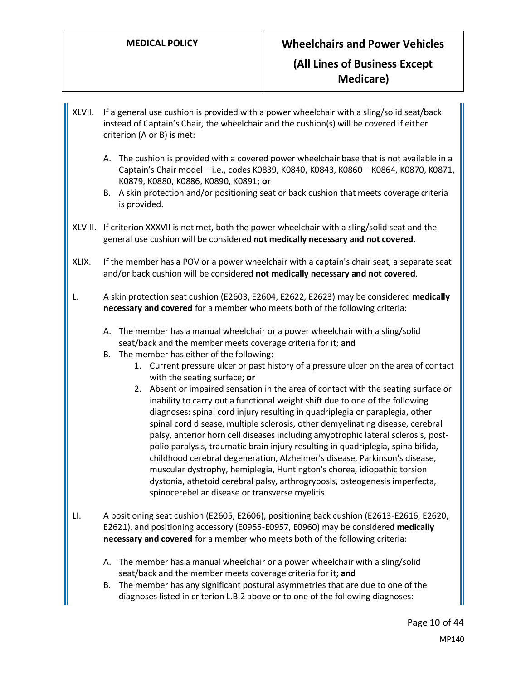- XLVII. If a general use cushion is provided with a power wheelchair with a sling/solid seat/back instead of Captain's Chair, the wheelchair and the cushion(s) will be covered if either criterion (A or B) is met:
	- A. The cushion is provided with a covered power wheelchair base that is not available in a Captain's Chair model – i.e., codes K0839, K0840, K0843, K0860 – K0864, K0870, K0871, K0879, K0880, K0886, K0890, K0891; **or**
	- B. A skin protection and/or positioning seat or back cushion that meets coverage criteria is provided.
- XLVIII. If criterion XXXVII is not met, both the power wheelchair with a sling/solid seat and the general use cushion will be considered **not medically necessary and not covered**.
- XLIX. If the member has a POV or a power wheelchair with a captain's chair seat, a separate seat and/or back cushion will be considered **not medically necessary and not covered**.
- L. A skin protection seat cushion (E2603, E2604, E2622, E2623) may be considered **medically necessary and covered** for a member who meets both of the following criteria:
	- A. The member has a manual wheelchair or a power wheelchair with a sling/solid seat/back and the member meets coverage criteria for it; **and**
	- B. The member has either of the following:
		- 1. Current pressure ulcer or past history of a pressure ulcer on the area of contact with the seating surface; **or**
		- 2. Absent or impaired sensation in the area of contact with the seating surface or inability to carry out a functional weight shift due to one of the following diagnoses: spinal cord injury resulting in quadriplegia or paraplegia, other spinal cord disease, multiple sclerosis, other demyelinating disease, cerebral palsy, anterior horn cell diseases including amyotrophic lateral sclerosis, postpolio paralysis, traumatic brain injury resulting in quadriplegia, spina bifida, childhood cerebral degeneration, Alzheimer's disease, Parkinson's disease, muscular dystrophy, hemiplegia, Huntington's chorea, idiopathic torsion dystonia, athetoid cerebral palsy, arthrogryposis, osteogenesis imperfecta, spinocerebellar disease or transverse myelitis.
- LI. A positioning seat cushion (E2605, E2606), positioning back cushion (E2613-E2616, E2620, E2621), and positioning accessory (E0955-E0957, E0960) may be considered **medically necessary and covered** for a member who meets both of the following criteria:
	- A. The member has a manual wheelchair or a power wheelchair with a sling/solid seat/back and the member meets coverage criteria for it; **and**
	- B. The member has any significant postural asymmetries that are due to one of the diagnoses listed in criterion L.B.2 above or to one of the following diagnoses: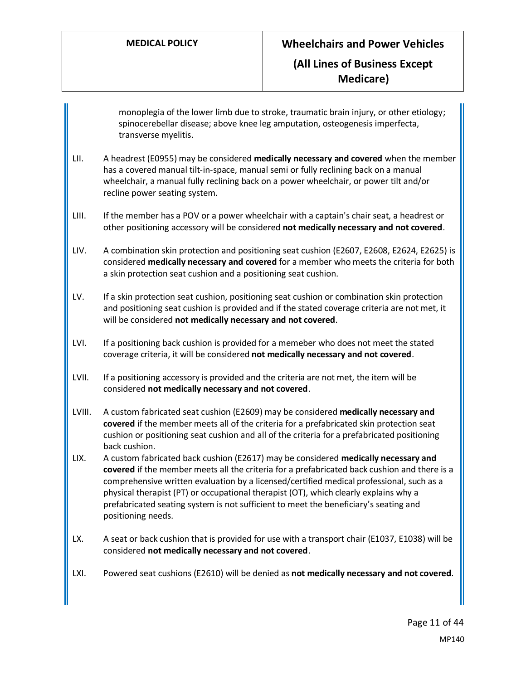monoplegia of the lower limb due to stroke, traumatic brain injury, or other etiology; spinocerebellar disease; above knee leg amputation, osteogenesis imperfecta, transverse myelitis.

- LII. A headrest (E0955) may be considered **medically necessary and covered** when the member has a covered manual tilt-in-space, manual semi or fully reclining back on a manual wheelchair, a manual fully reclining back on a power wheelchair, or power tilt and/or recline power seating system.
- LIII. If the member has a POV or a power wheelchair with a captain's chair seat, a headrest or other positioning accessory will be considered **not medically necessary and not covered**.
- LIV. A combination skin protection and positioning seat cushion (E2607, E2608, E2624, E2625) is considered **medically necessary and covered** for a member who meets the criteria for both a skin protection seat cushion and a positioning seat cushion.
- LV. If a skin protection seat cushion, positioning seat cushion or combination skin protection and positioning seat cushion is provided and if the stated coverage criteria are not met, it will be considered **not medically necessary and not covered**.
- LVI. If a positioning back cushion is provided for a memeber who does not meet the stated coverage criteria, it will be considered **not medically necessary and not covered**.
- LVII. If a positioning accessory is provided and the criteria are not met, the item will be considered **not medically necessary and not covered**.
- LVIII. A custom fabricated seat cushion (E2609) may be considered **medically necessary and covered** if the member meets all of the criteria for a prefabricated skin protection seat cushion or positioning seat cushion and all of the criteria for a prefabricated positioning back cushion.
- LIX. A custom fabricated back cushion (E2617) may be considered **medically necessary and covered** if the member meets all the criteria for a prefabricated back cushion and there is a comprehensive written evaluation by a licensed/certified medical professional, such as a physical therapist (PT) or occupational therapist (OT), which clearly explains why a prefabricated seating system is not sufficient to meet the beneficiary's seating and positioning needs.
- LX. A seat or back cushion that is provided for use with a transport chair (E1037, E1038) will be considered **not medically necessary and not covered**.
- LXI. Powered seat cushions (E2610) will be denied as **not medically necessary and not covered**.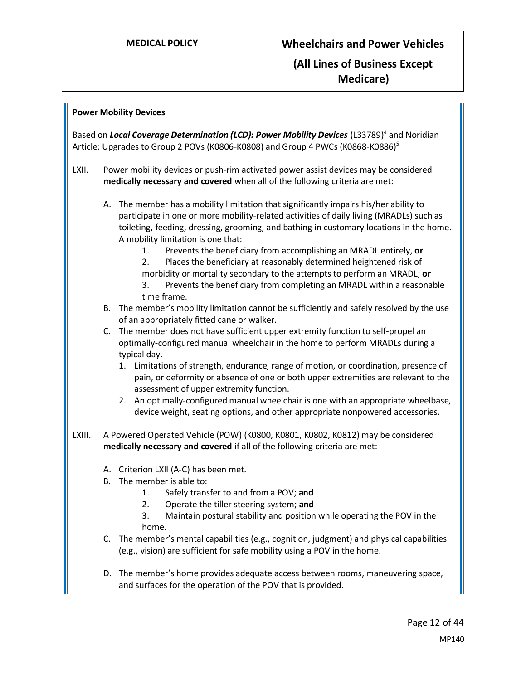## <span id="page-11-0"></span>**Power Mobility Devices**

Based on *Local Coverage Determination (LCD): Power Mobility Devices* (L33789)<sup>4</sup> and Noridian Article: Upgrades to Group 2 POVs (K0806-K0808) and Group 4 PWCs (K0868-K0886)<sup>5</sup>

- LXII. Power mobility devices or push-rim activated power assist devices may be considered **medically necessary and covered** when all of the following criteria are met:
	- A. The member has a mobility limitation that significantly impairs his/her ability to participate in one or more mobility-related activities of daily living (MRADLs) such as toileting, feeding, dressing, grooming, and bathing in customary locations in the home. A mobility limitation is one that:
		- 1. Prevents the beneficiary from accomplishing an MRADL entirely, **or**
		- 2. Places the beneficiary at reasonably determined heightened risk of morbidity or mortality secondary to the attempts to perform an MRADL; **or** 3. Prevents the beneficiary from completing an MRADL within a reasonable time frame.
	- B. The member's mobility limitation cannot be sufficiently and safely resolved by the use of an appropriately fitted cane or walker.
	- C. The member does not have sufficient upper extremity function to self-propel an optimally-configured manual wheelchair in the home to perform MRADLs during a typical day.
		- 1. Limitations of strength, endurance, range of motion, or coordination, presence of pain, or deformity or absence of one or both upper extremities are relevant to the assessment of upper extremity function.
		- 2. An optimally-configured manual wheelchair is one with an appropriate wheelbase, device weight, seating options, and other appropriate nonpowered accessories.
- <span id="page-11-1"></span>LXIII. A Powered Operated Vehicle (POW) (K0800, K0801, K0802, K0812) may be considered **medically necessary and covered** if all of the following criteria are met:
	- A. Criterion LXII (A-C) has been met.
	- B. The member is able to:
		- 1. Safely transfer to and from a POV; **and**
		- 2. Operate the tiller steering system; **and**
		- 3. Maintain postural stability and position while operating the POV in the home.
	- C. The member's mental capabilities (e.g., cognition, judgment) and physical capabilities (e.g., vision) are sufficient for safe mobility using a POV in the home.
	- D. The member's home provides adequate access between rooms, maneuvering space, and surfaces for the operation of the POV that is provided.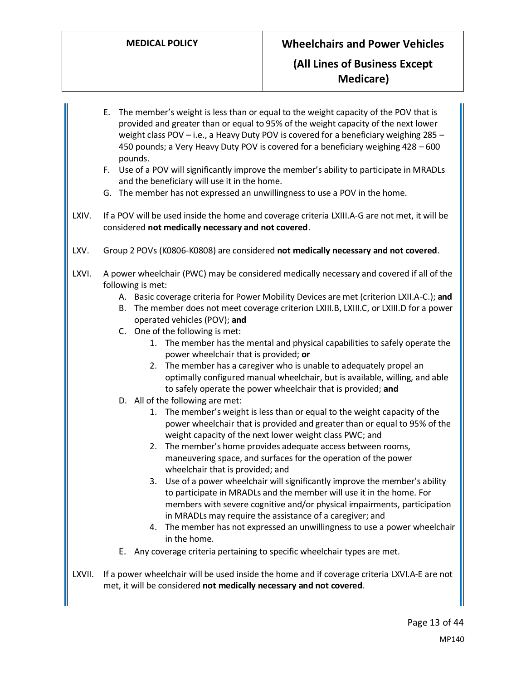<span id="page-12-0"></span>E. The member's weight is less than or equal to the weight capacity of the POV that is provided and greater than or equal to 95% of the weight capacity of the next lower weight class POV – i.e., a Heavy Duty POV is covered for a beneficiary weighing 285 – 450 pounds; a Very Heavy Duty POV is covered for a beneficiary weighing 428 – 600 pounds. F. Use of a POV will significantly improve the member's ability to participate in MRADLs and the beneficiary will use it in the home. G. The member has not expressed an unwillingness to use a POV in the home. LXIV. If a POV will be used inside the home and coverage criteria LXIII.A-G are not met, it will be considered **not medically necessary and not covered**. LXV. Group 2 POVs (K0806-K0808) are considered **not medically necessary and not covered**. LXVI. A power wheelchair (PWC) may be considered medically necessary and covered if all of the following is met: A. Basic coverage criteria for Power Mobility Devices are met (criterion LXII.A-C.); **and** B. The member does not meet coverage criterion LXIII.B, LXIII.C, or LXIII.D for a power operated vehicles (POV); **and** C. One of the following is met: 1. The member has the mental and physical capabilities to safely operate the power wheelchair that is provided; **or** 2. The member has a caregiver who is unable to adequately propel an optimally configured manual wheelchair, but is available, willing, and able to safely operate the power wheelchair that is provided; **and** D. All of the following are met: 1. The member's weight is less than or equal to the weight capacity of the power wheelchair that is provided and greater than or equal to 95% of the weight capacity of the next lower weight class PWC; and 2. The member's home provides adequate access between rooms, maneuvering space, and surfaces for the operation of the power wheelchair that is provided; and 3. Use of a power wheelchair will significantly improve the member's ability to participate in MRADLs and the member will use it in the home. For members with severe cognitive and/or physical impairments, participation in MRADLs may require the assistance of a caregiver; and 4. The member has not expressed an unwillingness to use a power wheelchair in the home. E. Any coverage criteria pertaining to specific wheelchair types are met. LXVII. If a power wheelchair will be used inside the home and if coverage criteria LXVI.A-E are not met, it will be considered **not medically necessary and not covered**.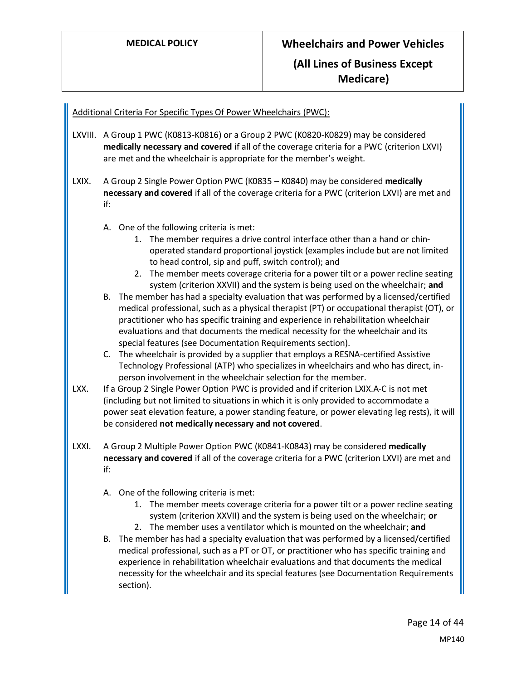### <span id="page-13-0"></span>Additional Criteria For Specific Types Of Power Wheelchairs (PWC):

- LXVIII. A Group 1 PWC (K0813-K0816) or a Group 2 PWC (K0820-K0829) may be considered **medically necessary and covered** if all of the coverage criteria for a PWC (criterion LXVI) are met and the wheelchair is appropriate for the member's weight.
- LXIX. A Group 2 Single Power Option PWC (K0835 K0840) may be considered **medically necessary and covered** if all of the coverage criteria for a PWC (criterion LXVI) are met and if:
	- A. One of the following criteria is met:
		- 1. The member requires a drive control interface other than a hand or chinoperated standard proportional joystick (examples include but are not limited to head control, sip and puff, switch control); and
		- 2. The member meets coverage criteria for a power tilt or a power recline seating system (criterion XXVII) and the system is being used on the wheelchair; **and**
	- B. The member has had a specialty evaluation that was performed by a licensed/certified medical professional, such as a physical therapist (PT) or occupational therapist (OT), or practitioner who has specific training and experience in rehabilitation wheelchair evaluations and that documents the medical necessity for the wheelchair and its special features (see Documentation Requirements section).
	- C. The wheelchair is provided by a supplier that employs a RESNA-certified Assistive Technology Professional (ATP) who specializes in wheelchairs and who has direct, inperson involvement in the wheelchair selection for the member.
- LXX. If a Group 2 Single Power Option PWC is provided and if criterion LXIX.A-C is not met (including but not limited to situations in which it is only provided to accommodate a power seat elevation feature, a power standing feature, or power elevating leg rests), it will be considered **not medically necessary and not covered**.
- LXXI. A Group 2 Multiple Power Option PWC (K0841-K0843) may be considered **medically necessary and covered** if all of the coverage criteria for a PWC (criterion LXVI) are met and if:
	- A. One of the following criteria is met:
		- 1. The member meets coverage criteria for a power tilt or a power recline seating system (criterion XXVII) and the system is being used on the wheelchair; **or**
		- 2. The member uses a ventilator which is mounted on the wheelchair; **and**
	- B. The member has had a specialty evaluation that was performed by a licensed/certified medical professional, such as a PT or OT, or practitioner who has specific training and experience in rehabilitation wheelchair evaluations and that documents the medical necessity for the wheelchair and its special features (see Documentation Requirements section).

Page 14 of 44 MP140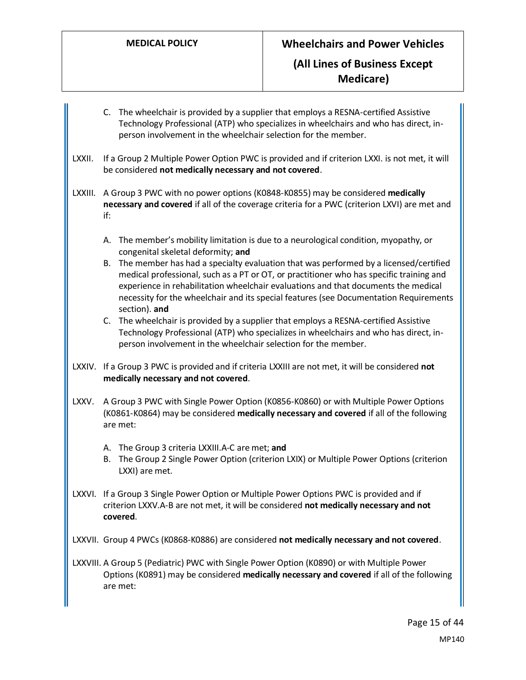C. The wheelchair is provided by a supplier that employs a RESNA-certified Assistive Technology Professional (ATP) who specializes in wheelchairs and who has direct, inperson involvement in the wheelchair selection for the member.

LXXII. If a Group 2 Multiple Power Option PWC is provided and if criterion LXXI. is not met, it will be considered **not medically necessary and not covered**.

LXXIII. A Group 3 PWC with no power options (K0848-K0855) may be considered **medically necessary and covered** if all of the coverage criteria for a PWC (criterion LXVI) are met and if:

- A. The member's mobility limitation is due to a neurological condition, myopathy, or congenital skeletal deformity; **and**
- B. The member has had a specialty evaluation that was performed by a licensed/certified medical professional, such as a PT or OT, or practitioner who has specific training and experience in rehabilitation wheelchair evaluations and that documents the medical necessity for the wheelchair and its special features (see Documentation Requirements section). **and**
- C. The wheelchair is provided by a supplier that employs a RESNA-certified Assistive Technology Professional (ATP) who specializes in wheelchairs and who has direct, inperson involvement in the wheelchair selection for the member.
- LXXIV. If a Group 3 PWC is provided and if criteria LXXIII are not met, it will be considered **not medically necessary and not covered**.
- LXXV. A Group 3 PWC with Single Power Option (K0856-K0860) or with Multiple Power Options (K0861-K0864) may be considered **medically necessary and covered** if all of the following are met:
	- A. The Group 3 criteria LXXIII.A-C are met; **and**
	- B. The Group 2 Single Power Option (criterion LXIX) or Multiple Power Options (criterion LXXI) are met.
- LXXVI. If a Group 3 Single Power Option or Multiple Power Options PWC is provided and if criterion LXXV.A-B are not met, it will be considered **not medically necessary and not covered**.

LXXVII. Group 4 PWCs (K0868-K0886) are considered **not medically necessary and not covered**.

LXXVIII. A Group 5 (Pediatric) PWC with Single Power Option (K0890) or with Multiple Power Options (K0891) may be considered **medically necessary and covered** if all of the following are met: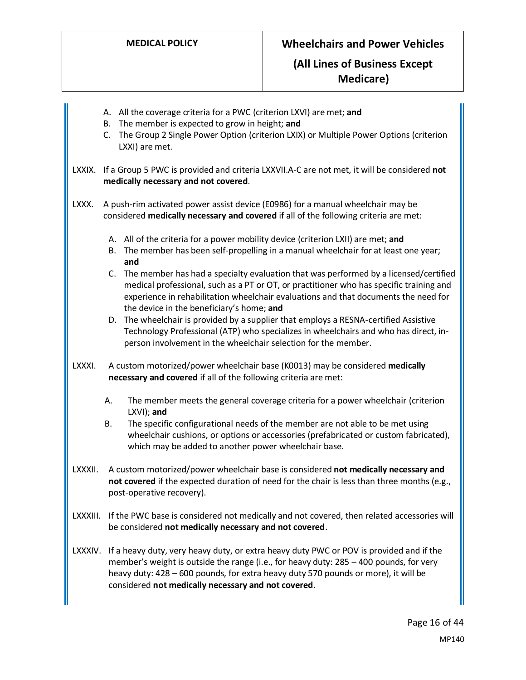|          |    | A. All the coverage criteria for a PWC (criterion LXVI) are met; and<br>B. The member is expected to grow in height; and<br>C. The Group 2 Single Power Option (criterion LXIX) or Multiple Power Options (criterion<br>LXXI) are met.                                                                                                 |
|----------|----|----------------------------------------------------------------------------------------------------------------------------------------------------------------------------------------------------------------------------------------------------------------------------------------------------------------------------------------|
|          |    | LXXIX. If a Group 5 PWC is provided and criteria LXXVII.A-C are not met, it will be considered not<br>medically necessary and not covered.                                                                                                                                                                                             |
| LXXX.    |    | A push-rim activated power assist device (E0986) for a manual wheelchair may be<br>considered medically necessary and covered if all of the following criteria are met:                                                                                                                                                                |
|          | В. | A. All of the criteria for a power mobility device (criterion LXII) are met; and<br>The member has been self-propelling in a manual wheelchair for at least one year;<br>and                                                                                                                                                           |
|          |    | C. The member has had a specialty evaluation that was performed by a licensed/certified<br>medical professional, such as a PT or OT, or practitioner who has specific training and<br>experience in rehabilitation wheelchair evaluations and that documents the need for<br>the device in the beneficiary's home; and                 |
|          |    | D. The wheelchair is provided by a supplier that employs a RESNA-certified Assistive<br>Technology Professional (ATP) who specializes in wheelchairs and who has direct, in-<br>person involvement in the wheelchair selection for the member.                                                                                         |
| LXXXI.   |    | A custom motorized/power wheelchair base (K0013) may be considered medically<br>necessary and covered if all of the following criteria are met:                                                                                                                                                                                        |
|          | А. | The member meets the general coverage criteria for a power wheelchair (criterion<br>LXVI); and                                                                                                                                                                                                                                         |
|          | В. | The specific configurational needs of the member are not able to be met using<br>wheelchair cushions, or options or accessories (prefabricated or custom fabricated),<br>which may be added to another power wheelchair base.                                                                                                          |
|          |    | LXXXII. A custom motorized/power wheelchair base is considered not medically necessary and<br>not covered if the expected duration of need for the chair is less than three months (e.g.,<br>post-operative recovery).                                                                                                                 |
| LXXXIII. |    | If the PWC base is considered not medically and not covered, then related accessories will<br>be considered not medically necessary and not covered.                                                                                                                                                                                   |
|          |    | LXXXIV. If a heavy duty, very heavy duty, or extra heavy duty PWC or POV is provided and if the<br>member's weight is outside the range (i.e., for heavy duty: 285 - 400 pounds, for very<br>heavy duty: 428 - 600 pounds, for extra heavy duty 570 pounds or more), it will be<br>considered not medically necessary and not covered. |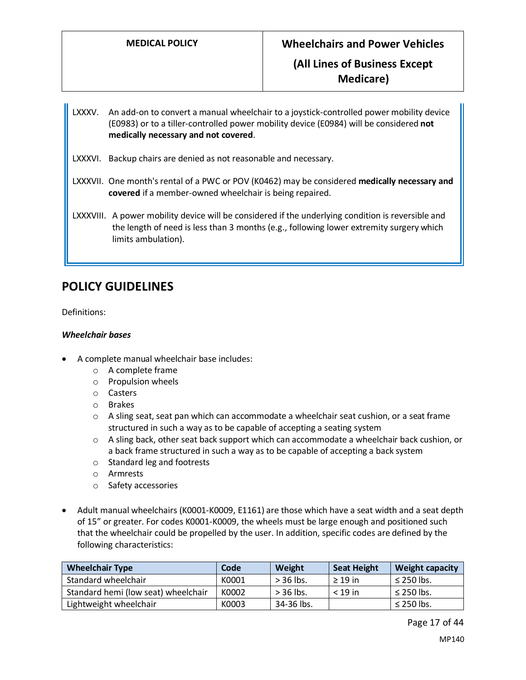**Medicare)**

LXXXV. An add-on to convert a manual wheelchair to a joystick-controlled power mobility device (E0983) or to a tiller-controlled power mobility device (E0984) will be considered **not medically necessary and not covered**.

- LXXXVI. Backup chairs are denied as not reasonable and necessary.
- LXXXVII. One month's rental of a PWC or POV (K0462) may be considered **medically necessary and covered** if a member-owned wheelchair is being repaired.

LXXXVIII. A power mobility device will be considered if the underlying condition is reversible and the length of need is less than 3 months (e.g., following lower extremity surgery which limits ambulation).

## **POLICY GUIDELINES**

Definitions:

### *Wheelchair bases*

- A complete manual wheelchair base includes:
	- o A complete frame
	- o Propulsion wheels
	- o Casters
	- o Brakes
	- $\circ$  A sling seat, seat pan which can accommodate a wheelchair seat cushion, or a seat frame structured in such a way as to be capable of accepting a seating system
	- o A sling back, other seat back support which can accommodate a wheelchair back cushion, or a back frame structured in such a way as to be capable of accepting a back system
	- o Standard leg and footrests
	- o Armrests
	- o Safety accessories
- Adult manual wheelchairs (K0001-K0009, E1161) are those which have a seat width and a seat depth of 15" or greater. For codes K0001-K0009, the wheels must be large enough and positioned such that the wheelchair could be propelled by the user. In addition, specific codes are defined by the following characteristics:

| <b>Wheelchair Type</b>              | Code  | Weight      | <b>Seat Height</b> | <b>Weight capacity</b> |
|-------------------------------------|-------|-------------|--------------------|------------------------|
| Standard wheelchair                 | K0001 | $>$ 36 lbs. | $>$ 19 in          | $\leq$ 250 lbs.        |
| Standard hemi (low seat) wheelchair | K0002 | $>$ 36 lbs. | $<$ 19 in          | $\leq$ 250 lbs.        |
| Lightweight wheelchair              | K0003 | 34-36 lbs.  |                    | $\leq$ 250 lbs.        |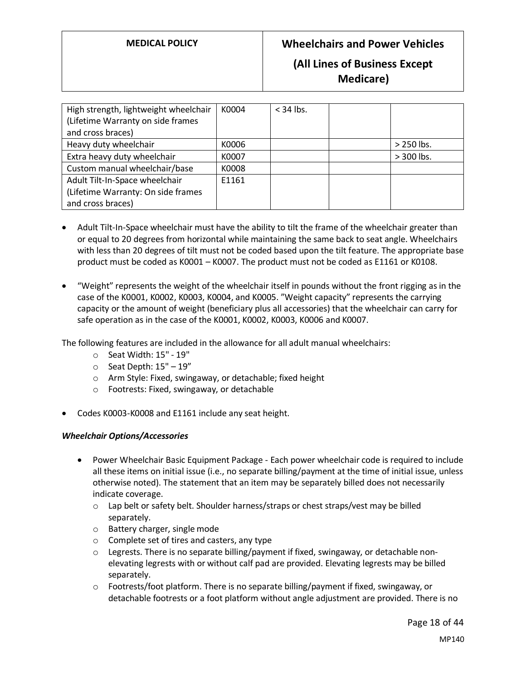## **(All Lines of Business Except Medicare)**

| High strength, lightweight wheelchair<br>(Lifetime Warranty on side frames<br>and cross braces) | K0004 | $<$ 34 lbs. |              |
|-------------------------------------------------------------------------------------------------|-------|-------------|--------------|
| Heavy duty wheelchair                                                                           | K0006 |             | $>$ 250 lbs. |
| Extra heavy duty wheelchair                                                                     | K0007 |             | $> 300$ lbs. |
| Custom manual wheelchair/base                                                                   | K0008 |             |              |
| Adult Tilt-In-Space wheelchair                                                                  | E1161 |             |              |
| (Lifetime Warranty: On side frames                                                              |       |             |              |
| and cross braces)                                                                               |       |             |              |

- Adult Tilt-In-Space wheelchair must have the ability to tilt the frame of the wheelchair greater than or equal to 20 degrees from horizontal while maintaining the same back to seat angle. Wheelchairs with less than 20 degrees of tilt must not be coded based upon the tilt feature. The appropriate base product must be coded as K0001 – K0007. The product must not be coded as E1161 or K0108.
- "Weight" represents the weight of the wheelchair itself in pounds without the front rigging as in the case of the K0001, K0002, K0003, K0004, and K0005. "Weight capacity" represents the carrying capacity or the amount of weight (beneficiary plus all accessories) that the wheelchair can carry for safe operation as in the case of the K0001, K0002, K0003, K0006 and K0007.

The following features are included in the allowance for all adult manual wheelchairs:

- o Seat Width: 15" 19"
- $\circ$  Seat Depth:  $15" 19"$
- o Arm Style: Fixed, swingaway, or detachable; fixed height
- o Footrests: Fixed, swingaway, or detachable
- Codes K0003-K0008 and E1161 include any seat height.

## *Wheelchair Options/Accessories*

- Power Wheelchair Basic Equipment Package Each power wheelchair code is required to include all these items on initial issue (i.e., no separate billing/payment at the time of initial issue, unless otherwise noted). The statement that an item may be separately billed does not necessarily indicate coverage.
	- $\circ$  Lap belt or safety belt. Shoulder harness/straps or chest straps/vest may be billed separately.
	- o Battery charger, single mode
	- o Complete set of tires and casters, any type
	- $\circ$  Legrests. There is no separate billing/payment if fixed, swingaway, or detachable nonelevating legrests with or without calf pad are provided. Elevating legrests may be billed separately.
	- $\circ$  Footrests/foot platform. There is no separate billing/payment if fixed, swingaway, or detachable footrests or a foot platform without angle adjustment are provided. There is no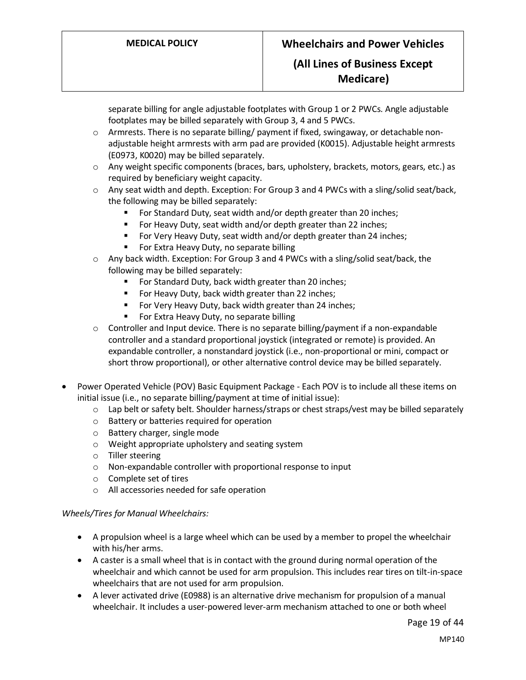## **(All Lines of Business Except Medicare)**

separate billing for angle adjustable footplates with Group 1 or 2 PWCs. Angle adjustable footplates may be billed separately with Group 3, 4 and 5 PWCs.

- o Armrests. There is no separate billing/ payment if fixed, swingaway, or detachable nonadjustable height armrests with arm pad are provided (K0015). Adjustable height armrests (E0973, K0020) may be billed separately.
- $\circ$  Any weight specific components (braces, bars, upholstery, brackets, motors, gears, etc.) as required by beneficiary weight capacity.
- o Any seat width and depth. Exception: For Group 3 and 4 PWCs with a sling/solid seat/back, the following may be billed separately:
	- For Standard Duty, seat width and/or depth greater than 20 inches;
	- For Heavy Duty, seat width and/or depth greater than 22 inches;
	- For Very Heavy Duty, seat width and/or depth greater than 24 inches;
	- For Extra Heavy Duty, no separate billing
- o Any back width. Exception: For Group 3 and 4 PWCs with a sling/solid seat/back, the following may be billed separately:
	- For Standard Duty, back width greater than 20 inches;
	- For Heavy Duty, back width greater than 22 inches;
	- For Very Heavy Duty, back width greater than 24 inches;
	- For Extra Heavy Duty, no separate billing
- o Controller and Input device. There is no separate billing/payment if a non-expandable controller and a standard proportional joystick (integrated or remote) is provided. An expandable controller, a nonstandard joystick (i.e., non-proportional or mini, compact or short throw proportional), or other alternative control device may be billed separately.
- Power Operated Vehicle (POV) Basic Equipment Package Each POV is to include all these items on initial issue (i.e., no separate billing/payment at time of initial issue):
	- $\circ$  Lap belt or safety belt. Shoulder harness/straps or chest straps/vest may be billed separately
	- o Battery or batteries required for operation
	- o Battery charger, single mode
	- o Weight appropriate upholstery and seating system
	- o Tiller steering
	- o Non-expandable controller with proportional response to input
	- o Complete set of tires
	- o All accessories needed for safe operation

## *Wheels/Tires for Manual Wheelchairs:*

- A propulsion wheel is a large wheel which can be used by a member to propel the wheelchair with his/her arms.
- A caster is a small wheel that is in contact with the ground during normal operation of the wheelchair and which cannot be used for arm propulsion. This includes rear tires on tilt-in-space wheelchairs that are not used for arm propulsion.
- A lever activated drive (E0988) is an alternative drive mechanism for propulsion of a manual wheelchair. It includes a user-powered lever-arm mechanism attached to one or both wheel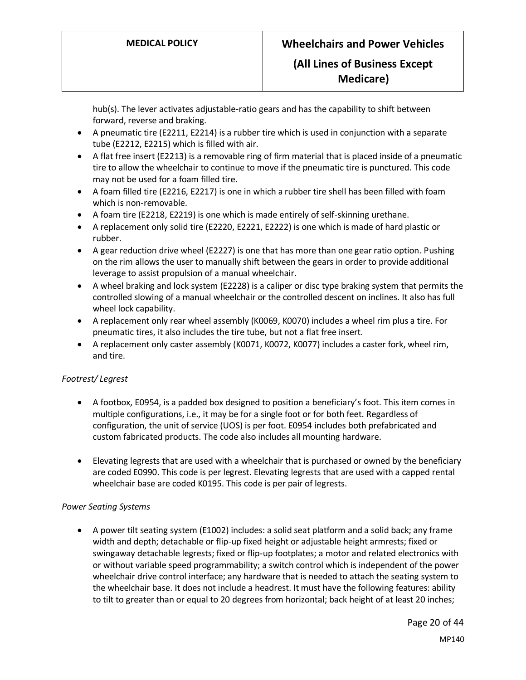**Medicare)**

hub(s). The lever activates adjustable-ratio gears and has the capability to shift between forward, reverse and braking.

- A pneumatic tire (E2211, E2214) is a rubber tire which is used in conjunction with a separate tube (E2212, E2215) which is filled with air.
- A flat free insert (E2213) is a removable ring of firm material that is placed inside of a pneumatic tire to allow the wheelchair to continue to move if the pneumatic tire is punctured. This code may not be used for a foam filled tire.
- A foam filled tire (E2216, E2217) is one in which a rubber tire shell has been filled with foam which is non-removable.
- A foam tire (E2218, E2219) is one which is made entirely of self-skinning urethane.
- A replacement only solid tire (E2220, E2221, E2222) is one which is made of hard plastic or rubber.
- A gear reduction drive wheel (E2227) is one that has more than one gear ratio option. Pushing on the rim allows the user to manually shift between the gears in order to provide additional leverage to assist propulsion of a manual wheelchair.
- A wheel braking and lock system (E2228) is a caliper or disc type braking system that permits the controlled slowing of a manual wheelchair or the controlled descent on inclines. It also has full wheel lock capability.
- A replacement only rear wheel assembly (K0069, K0070) includes a wheel rim plus a tire. For pneumatic tires, it also includes the tire tube, but not a flat free insert.
- A replacement only caster assembly (K0071, K0072, K0077) includes a caster fork, wheel rim, and tire.

## *Footrest/ Legrest*

- A footbox, E0954, is a padded box designed to position a beneficiary's foot. This item comes in multiple configurations, i.e., it may be for a single foot or for both feet. Regardless of configuration, the unit of service (UOS) is per foot. E0954 includes both prefabricated and custom fabricated products. The code also includes all mounting hardware.
- Elevating legrests that are used with a wheelchair that is purchased or owned by the beneficiary are coded E0990. This code is per legrest. Elevating legrests that are used with a capped rental wheelchair base are coded K0195. This code is per pair of legrests.

#### *Power Seating Systems*

• A power tilt seating system (E1002) includes: a solid seat platform and a solid back; any frame width and depth; detachable or flip-up fixed height or adjustable height armrests; fixed or swingaway detachable legrests; fixed or flip-up footplates; a motor and related electronics with or without variable speed programmability; a switch control which is independent of the power wheelchair drive control interface; any hardware that is needed to attach the seating system to the wheelchair base. It does not include a headrest. It must have the following features: ability to tilt to greater than or equal to 20 degrees from horizontal; back height of at least 20 inches;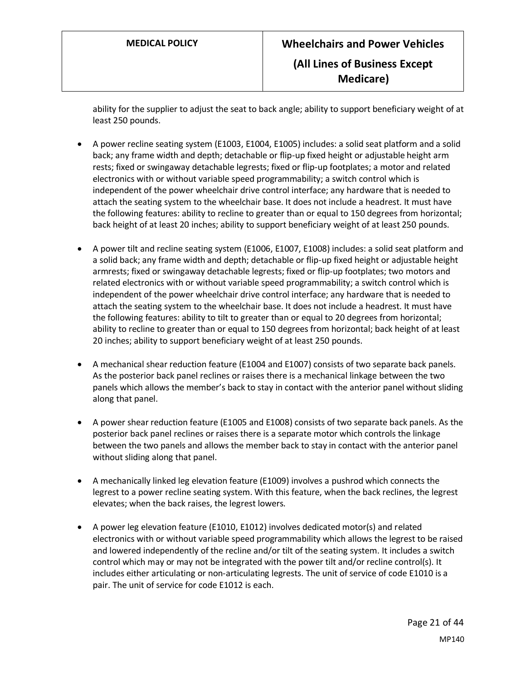ability for the supplier to adjust the seat to back angle; ability to support beneficiary weight of at least 250 pounds.

- A power recline seating system (E1003, E1004, E1005) includes: a solid seat platform and a solid back; any frame width and depth; detachable or flip-up fixed height or adjustable height arm rests; fixed or swingaway detachable legrests; fixed or flip-up footplates; a motor and related electronics with or without variable speed programmability; a switch control which is independent of the power wheelchair drive control interface; any hardware that is needed to attach the seating system to the wheelchair base. It does not include a headrest. It must have the following features: ability to recline to greater than or equal to 150 degrees from horizontal; back height of at least 20 inches; ability to support beneficiary weight of at least 250 pounds.
- A power tilt and recline seating system (E1006, E1007, E1008) includes: a solid seat platform and a solid back; any frame width and depth; detachable or flip-up fixed height or adjustable height armrests; fixed or swingaway detachable legrests; fixed or flip-up footplates; two motors and related electronics with or without variable speed programmability; a switch control which is independent of the power wheelchair drive control interface; any hardware that is needed to attach the seating system to the wheelchair base. It does not include a headrest. It must have the following features: ability to tilt to greater than or equal to 20 degrees from horizontal; ability to recline to greater than or equal to 150 degrees from horizontal; back height of at least 20 inches; ability to support beneficiary weight of at least 250 pounds.
- A mechanical shear reduction feature (E1004 and E1007) consists of two separate back panels. As the posterior back panel reclines or raises there is a mechanical linkage between the two panels which allows the member's back to stay in contact with the anterior panel without sliding along that panel.
- A power shear reduction feature (E1005 and E1008) consists of two separate back panels. As the posterior back panel reclines or raises there is a separate motor which controls the linkage between the two panels and allows the member back to stay in contact with the anterior panel without sliding along that panel.
- A mechanically linked leg elevation feature (E1009) involves a pushrod which connects the legrest to a power recline seating system. With this feature, when the back reclines, the legrest elevates; when the back raises, the legrest lowers.
- A power leg elevation feature (E1010, E1012) involves dedicated motor(s) and related electronics with or without variable speed programmability which allows the legrest to be raised and lowered independently of the recline and/or tilt of the seating system. It includes a switch control which may or may not be integrated with the power tilt and/or recline control(s). It includes either articulating or non-articulating legrests. The unit of service of code E1010 is a pair. The unit of service for code E1012 is each.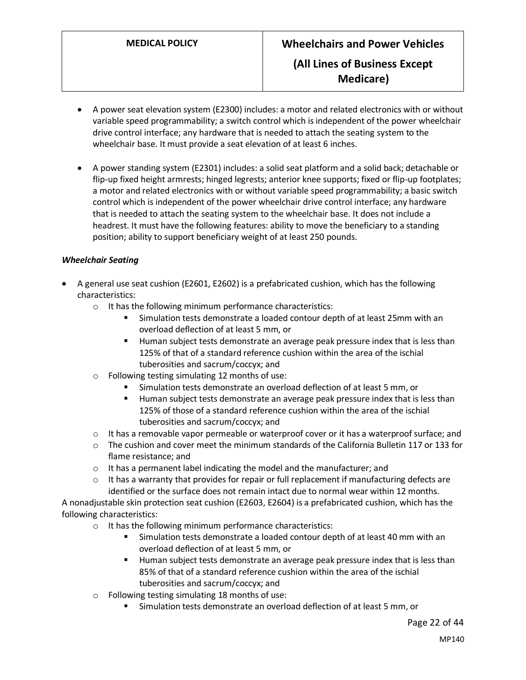- A power seat elevation system (E2300) includes: a motor and related electronics with or without variable speed programmability; a switch control which is independent of the power wheelchair drive control interface; any hardware that is needed to attach the seating system to the wheelchair base. It must provide a seat elevation of at least 6 inches.
- A power standing system (E2301) includes: a solid seat platform and a solid back; detachable or flip-up fixed height armrests; hinged legrests; anterior knee supports; fixed or flip-up footplates; a motor and related electronics with or without variable speed programmability; a basic switch control which is independent of the power wheelchair drive control interface; any hardware that is needed to attach the seating system to the wheelchair base. It does not include a headrest. It must have the following features: ability to move the beneficiary to a standing position; ability to support beneficiary weight of at least 250 pounds.

## *Wheelchair Seating*

- A general use seat cushion (E2601, E2602) is a prefabricated cushion, which has the following characteristics:
	- o It has the following minimum performance characteristics:
		- Simulation tests demonstrate a loaded contour depth of at least 25mm with an overload deflection of at least 5 mm, or
		- Human subject tests demonstrate an average peak pressure index that is less than 125% of that of a standard reference cushion within the area of the ischial tuberosities and sacrum/coccyx; and
	- o Following testing simulating 12 months of use:
		- Simulation tests demonstrate an overload deflection of at least 5 mm, or
		- Human subject tests demonstrate an average peak pressure index that is less than 125% of those of a standard reference cushion within the area of the ischial tuberosities and sacrum/coccyx; and
	- $\circ$  It has a removable vapor permeable or waterproof cover or it has a waterproof surface; and
	- $\circ$  The cushion and cover meet the minimum standards of the California Bulletin 117 or 133 for flame resistance; and
	- o It has a permanent label indicating the model and the manufacturer; and
	- $\circ$  It has a warranty that provides for repair or full replacement if manufacturing defects are identified or the surface does not remain intact due to normal wear within 12 months.

A nonadjustable skin protection seat cushion (E2603, E2604) is a prefabricated cushion, which has the following characteristics:

- o It has the following minimum performance characteristics:
	- **EXECT** Simulation tests demonstrate a loaded contour depth of at least 40 mm with an overload deflection of at least 5 mm, or
	- Human subject tests demonstrate an average peak pressure index that is less than 85% of that of a standard reference cushion within the area of the ischial tuberosities and sacrum/coccyx; and
- o Following testing simulating 18 months of use:
	- Simulation tests demonstrate an overload deflection of at least 5 mm, or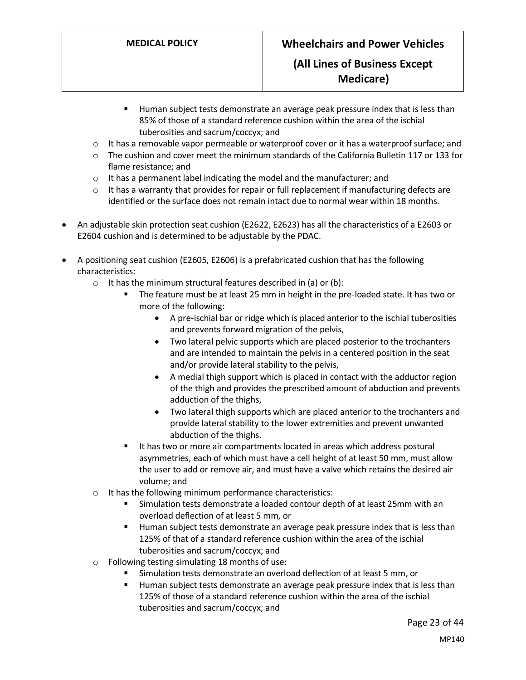## **Medicare)**

- Human subject tests demonstrate an average peak pressure index that is less than 85% of those of a standard reference cushion within the area of the ischial tuberosities and sacrum/coccyx; and
- $\circ$  It has a removable vapor permeable or waterproof cover or it has a waterproof surface; and
- $\circ$  The cushion and cover meet the minimum standards of the California Bulletin 117 or 133 for flame resistance; and
- o It has a permanent label indicating the model and the manufacturer; and
- $\circ$  It has a warranty that provides for repair or full replacement if manufacturing defects are identified or the surface does not remain intact due to normal wear within 18 months.
- An adjustable skin protection seat cushion (E2622, E2623) has all the characteristics of a E2603 or E2604 cushion and is determined to be adjustable by the PDAC.
- A positioning seat cushion (E2605, E2606) is a prefabricated cushion that has the following characteristics:
	- $\circ$  It has the minimum structural features described in (a) or (b):
		- The feature must be at least 25 mm in height in the pre-loaded state. It has two or more of the following:
			- A pre-ischial bar or ridge which is placed anterior to the ischial tuberosities and prevents forward migration of the pelvis,
			- Two lateral pelvic supports which are placed posterior to the trochanters and are intended to maintain the pelvis in a centered position in the seat and/or provide lateral stability to the pelvis,
			- A medial thigh support which is placed in contact with the adductor region of the thigh and provides the prescribed amount of abduction and prevents adduction of the thighs,
			- Two lateral thigh supports which are placed anterior to the trochanters and provide lateral stability to the lower extremities and prevent unwanted abduction of the thighs.
		- It has two or more air compartments located in areas which address postural asymmetries, each of which must have a cell height of at least 50 mm, must allow the user to add or remove air, and must have a valve which retains the desired air volume; and
	- o It has the following minimum performance characteristics:
		- Simulation tests demonstrate a loaded contour depth of at least 25mm with an overload deflection of at least 5 mm, or
		- Human subject tests demonstrate an average peak pressure index that is less than 125% of that of a standard reference cushion within the area of the ischial tuberosities and sacrum/coccyx; and
	- o Following testing simulating 18 months of use:
		- Simulation tests demonstrate an overload deflection of at least 5 mm, or
		- Human subject tests demonstrate an average peak pressure index that is less than 125% of those of a standard reference cushion within the area of the ischial tuberosities and sacrum/coccyx; and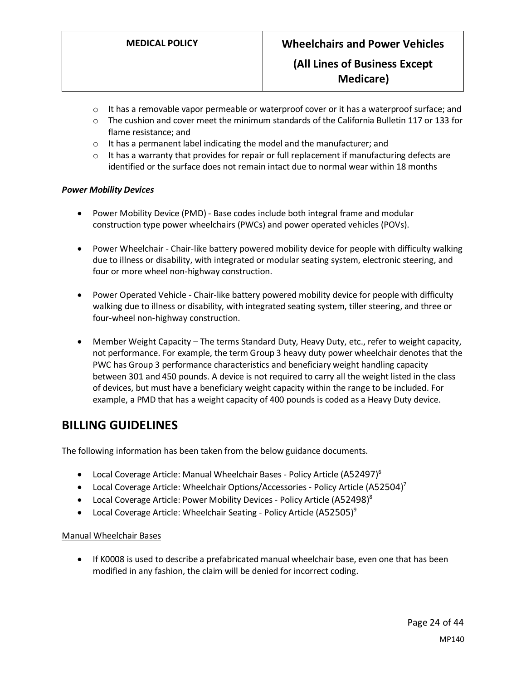- $\circ$  It has a removable vapor permeable or waterproof cover or it has a waterproof surface; and
- $\circ$  The cushion and cover meet the minimum standards of the California Bulletin 117 or 133 for flame resistance; and
- o It has a permanent label indicating the model and the manufacturer; and
- o It has a warranty that provides for repair or full replacement if manufacturing defects are identified or the surface does not remain intact due to normal wear within 18 months

#### *Power Mobility Devices*

- Power Mobility Device (PMD) Base codes include both integral frame and modular construction type power wheelchairs (PWCs) and power operated vehicles (POVs).
- Power Wheelchair Chair-like battery powered mobility device for people with difficulty walking due to illness or disability, with integrated or modular seating system, electronic steering, and four or more wheel non-highway construction.
- Power Operated Vehicle Chair-like battery powered mobility device for people with difficulty walking due to illness or disability, with integrated seating system, tiller steering, and three or four-wheel non-highway construction.
- Member Weight Capacity The terms Standard Duty, Heavy Duty, etc., refer to weight capacity, not performance. For example, the term Group 3 heavy duty power wheelchair denotes that the PWC has Group 3 performance characteristics and beneficiary weight handling capacity between 301 and 450 pounds. A device is not required to carry all the weight listed in the class of devices, but must have a beneficiary weight capacity within the range to be included. For example, a PMD that has a weight capacity of 400 pounds is coded as a Heavy Duty device.

## **BILLING GUIDELINES**

The following information has been taken from the below guidance documents.

- Local Coverage Article: Manual Wheelchair Bases Policy Article (A52497)<sup>6</sup>
- Local Coverage Article: Wheelchair Options/Accessories Policy Article (A52504)<sup>7</sup>
- Local Coverage Article: Power Mobility Devices Policy Article (A52498)<sup>8</sup>
- Local Coverage Article: Wheelchair Seating Policy Article (A52505)<sup>9</sup>

#### Manual Wheelchair Bases

• If K0008 is used to describe a prefabricated manual wheelchair base, even one that has been modified in any fashion, the claim will be denied for incorrect coding.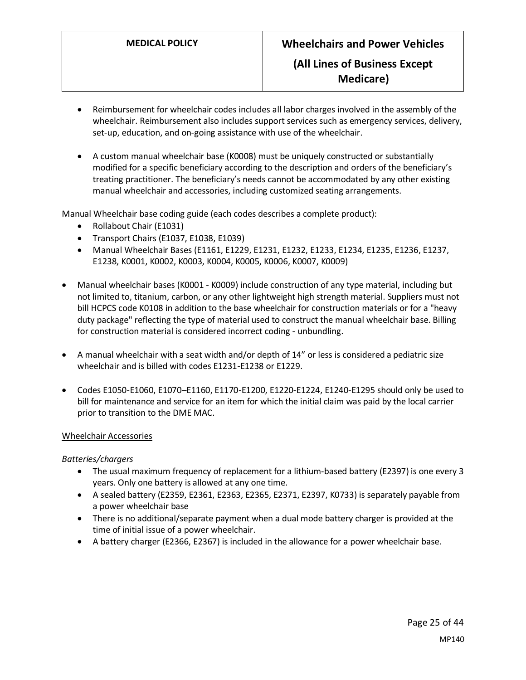- Reimbursement for wheelchair codes includes all labor charges involved in the assembly of the wheelchair. Reimbursement also includes support services such as emergency services, delivery, set-up, education, and on-going assistance with use of the wheelchair.
- A custom manual wheelchair base (K0008) must be uniquely constructed or substantially modified for a specific beneficiary according to the description and orders of the beneficiary's treating practitioner. The beneficiary's needs cannot be accommodated by any other existing manual wheelchair and accessories, including customized seating arrangements.

Manual Wheelchair base coding guide (each codes describes a complete product):

- Rollabout Chair (E1031)
- Transport Chairs (E1037, E1038, E1039)
- Manual Wheelchair Bases (E1161, E1229, E1231, E1232, E1233, E1234, E1235, E1236, E1237, E1238, K0001, K0002, K0003, K0004, K0005, K0006, K0007, K0009)
- Manual wheelchair bases (K0001 K0009) include construction of any type material, including but not limited to, titanium, carbon, or any other lightweight high strength material. Suppliers must not bill HCPCS code K0108 in addition to the base wheelchair for construction materials or for a "heavy duty package" reflecting the type of material used to construct the manual wheelchair base. Billing for construction material is considered incorrect coding - unbundling.
- A manual wheelchair with a seat width and/or depth of 14" or less is considered a pediatric size wheelchair and is billed with codes E1231-E1238 or E1229.
- Codes E1050-E1060, E1070–E1160, E1170-E1200, E1220-E1224, E1240-E1295 should only be used to bill for maintenance and service for an item for which the initial claim was paid by the local carrier prior to transition to the DME MAC.

#### Wheelchair Accessories

*Batteries/chargers*

- The usual maximum frequency of replacement for a lithium-based battery (E2397) is one every 3 years. Only one battery is allowed at any one time.
- A sealed battery (E2359, E2361, E2363, E2365, E2371, E2397, K0733) is separately payable from a power wheelchair base
- There is no additional/separate payment when a dual mode battery charger is provided at the time of initial issue of a power wheelchair.
- A battery charger (E2366, E2367) is included in the allowance for a power wheelchair base.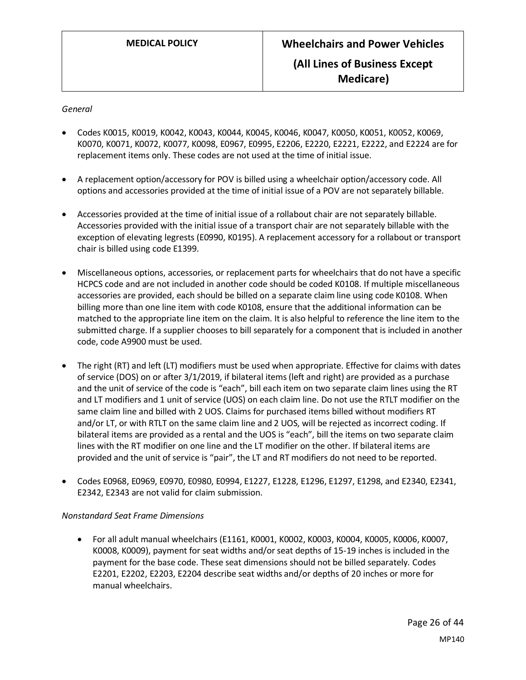#### *General*

- Codes K0015, K0019, K0042, K0043, K0044, K0045, K0046, K0047, K0050, K0051, K0052, K0069, K0070, K0071, K0072, K0077, K0098, E0967, E0995, E2206, E2220, E2221, E2222, and E2224 are for replacement items only. These codes are not used at the time of initial issue.
- A replacement option/accessory for POV is billed using a wheelchair option/accessory code. All options and accessories provided at the time of initial issue of a POV are not separately billable.
- Accessories provided at the time of initial issue of a rollabout chair are not separately billable. Accessories provided with the initial issue of a transport chair are not separately billable with the exception of elevating legrests (E0990, K0195). A replacement accessory for a rollabout or transport chair is billed using code E1399.
- Miscellaneous options, accessories, or replacement parts for wheelchairs that do not have a specific HCPCS code and are not included in another code should be coded K0108. If multiple miscellaneous accessories are provided, each should be billed on a separate claim line using code K0108. When billing more than one line item with code K0108, ensure that the additional information can be matched to the appropriate line item on the claim. It is also helpful to reference the line item to the submitted charge. If a supplier chooses to bill separately for a component that is included in another code, code A9900 must be used.
- The right (RT) and left (LT) modifiers must be used when appropriate. Effective for claims with dates of service (DOS) on or after 3/1/2019, if bilateral items (left and right) are provided as a purchase and the unit of service of the code is "each", bill each item on two separate claim lines using the RT and LT modifiers and 1 unit of service (UOS) on each claim line. Do not use the RTLT modifier on the same claim line and billed with 2 UOS. Claims for purchased items billed without modifiers RT and/or LT, or with RTLT on the same claim line and 2 UOS, will be rejected as incorrect coding. If bilateral items are provided as a rental and the UOS is "each", bill the items on two separate claim lines with the RT modifier on one line and the LT modifier on the other. If bilateral items are provided and the unit of service is "pair", the LT and RT modifiers do not need to be reported.
- Codes E0968, E0969, E0970, E0980, E0994, E1227, E1228, E1296, E1297, E1298, and E2340, E2341, E2342, E2343 are not valid for claim submission.

#### *Nonstandard Seat Frame Dimensions*

• For all adult manual wheelchairs (E1161, K0001, K0002, K0003, K0004, K0005, K0006, K0007, K0008, K0009), payment for seat widths and/or seat depths of 15-19 inches is included in the payment for the base code. These seat dimensions should not be billed separately. Codes E2201, E2202, E2203, E2204 describe seat widths and/or depths of 20 inches or more for manual wheelchairs.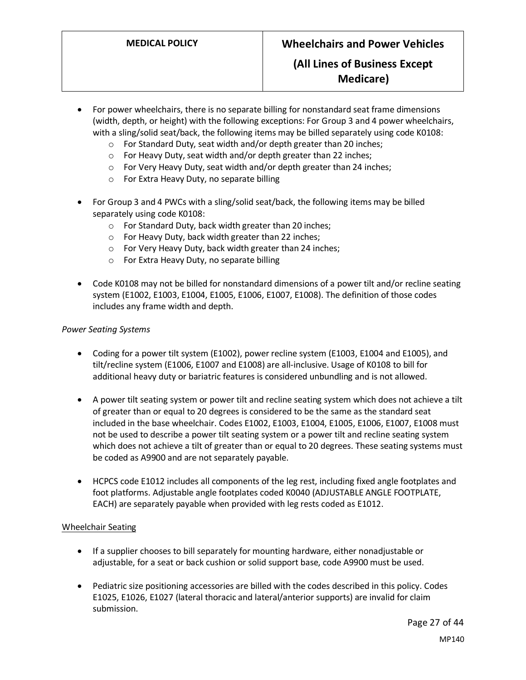## **(All Lines of Business Except Medicare)**

- For power wheelchairs, there is no separate billing for nonstandard seat frame dimensions (width, depth, or height) with the following exceptions: For Group 3 and 4 power wheelchairs, with a sling/solid seat/back, the following items may be billed separately using code K0108:
	- o For Standard Duty, seat width and/or depth greater than 20 inches;
	- o For Heavy Duty, seat width and/or depth greater than 22 inches;
	- o For Very Heavy Duty, seat width and/or depth greater than 24 inches;
	- o For Extra Heavy Duty, no separate billing
- For Group 3 and 4 PWCs with a sling/solid seat/back, the following items may be billed separately using code K0108:
	- o For Standard Duty, back width greater than 20 inches;
	- o For Heavy Duty, back width greater than 22 inches;
	- o For Very Heavy Duty, back width greater than 24 inches;
	- o For Extra Heavy Duty, no separate billing
- Code K0108 may not be billed for nonstandard dimensions of a power tilt and/or recline seating system (E1002, E1003, E1004, E1005, E1006, E1007, E1008). The definition of those codes includes any frame width and depth.

#### *Power Seating Systems*

- Coding for a power tilt system (E1002), power recline system (E1003, E1004 and E1005), and tilt/recline system (E1006, E1007 and E1008) are all-inclusive. Usage of K0108 to bill for additional heavy duty or bariatric features is considered unbundling and is not allowed.
- A power tilt seating system or power tilt and recline seating system which does not achieve a tilt of greater than or equal to 20 degrees is considered to be the same as the standard seat included in the base wheelchair. Codes E1002, E1003, E1004, E1005, E1006, E1007, E1008 must not be used to describe a power tilt seating system or a power tilt and recline seating system which does not achieve a tilt of greater than or equal to 20 degrees. These seating systems must be coded as A9900 and are not separately payable.
- HCPCS code E1012 includes all components of the leg rest, including fixed angle footplates and foot platforms. Adjustable angle footplates coded K0040 (ADJUSTABLE ANGLE FOOTPLATE, EACH) are separately payable when provided with leg rests coded as E1012.

#### Wheelchair Seating

- If a supplier chooses to bill separately for mounting hardware, either nonadjustable or adjustable, for a seat or back cushion or solid support base, code A9900 must be used.
- Pediatric size positioning accessories are billed with the codes described in this policy. Codes E1025, E1026, E1027 (lateral thoracic and lateral/anterior supports) are invalid for claim submission.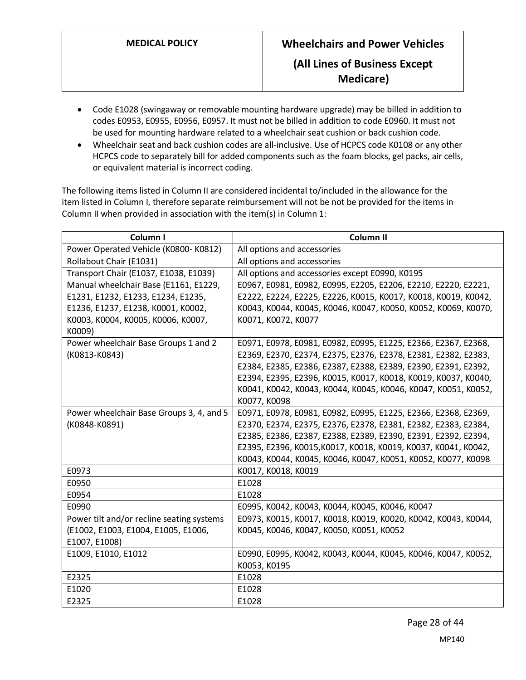- Code E1028 (swingaway or removable mounting hardware upgrade) may be billed in addition to codes E0953, E0955, E0956, E0957. It must not be billed in addition to code E0960. It must not be used for mounting hardware related to a wheelchair seat cushion or back cushion code.
- Wheelchair seat and back cushion codes are all-inclusive. Use of HCPCS code K0108 or any other HCPCS code to separately bill for added components such as the foam blocks, gel packs, air cells, or equivalent material is incorrect coding.

The following items listed in Column II are considered incidental to/included in the allowance for the item listed in Column I, therefore separate reimbursement will not be not be provided for the items in Column II when provided in association with the item(s) in Column 1:

| Column I                                     | Column II                                                      |
|----------------------------------------------|----------------------------------------------------------------|
| Power Operated Vehicle (K0800-K0812)         | All options and accessories                                    |
| Rollabout Chair (E1031)                      | All options and accessories                                    |
| Transport Chair (E1037, E1038, E1039)        | All options and accessories except E0990, K0195                |
| Manual wheelchair Base (E1161, E1229,        | E0967, E0981, E0982, E0995, E2205, E2206, E2210, E2220, E2221, |
| E1231, E1232, E1233, E1234, E1235,           | E2222, E2224, E2225, E2226, K0015, K0017, K0018, K0019, K0042, |
| E1236, E1237, E1238, K0001, K0002,           | K0043, K0044, K0045, K0046, K0047, K0050, K0052, K0069, K0070, |
| K0003, K0004, K0005, K0006, K0007,<br>K0009) | K0071, K0072, K0077                                            |
| Power wheelchair Base Groups 1 and 2         | E0971, E0978, E0981, E0982, E0995, E1225, E2366, E2367, E2368, |
| (K0813-K0843)                                | E2369, E2370, E2374, E2375, E2376, E2378, E2381, E2382, E2383, |
|                                              | E2384, E2385, E2386, E2387, E2388, E2389, E2390, E2391, E2392, |
|                                              | E2394, E2395, E2396, K0015, K0017, K0018, K0019, K0037, K0040, |
|                                              | K0041, K0042, K0043, K0044, K0045, K0046, K0047, K0051, K0052, |
|                                              | K0077, K0098                                                   |
| Power wheelchair Base Groups 3, 4, and 5     | E0971, E0978, E0981, E0982, E0995, E1225, E2366, E2368, E2369, |
| (K0848-K0891)                                | E2370, E2374, E2375, E2376, E2378, E2381, E2382, E2383, E2384, |
|                                              | E2385, E2386, E2387, E2388, E2389, E2390, E2391, E2392, E2394, |
|                                              | E2395, E2396, K0015, K0017, K0018, K0019, K0037, K0041, K0042, |
|                                              | K0043, K0044, K0045, K0046, K0047, K0051, K0052, K0077, K0098  |
| E0973                                        | K0017, K0018, K0019                                            |
| E0950                                        | E1028                                                          |
| E0954                                        | E1028                                                          |
| E0990                                        | E0995, K0042, K0043, K0044, K0045, K0046, K0047                |
| Power tilt and/or recline seating systems    | E0973, K0015, K0017, K0018, K0019, K0020, K0042, K0043, K0044, |
| (E1002, E1003, E1004, E1005, E1006,          | K0045, K0046, K0047, K0050, K0051, K0052                       |
| E1007, E1008)                                |                                                                |
| E1009, E1010, E1012                          | Е0990, Е0995, КОО42, КОО43, КОО44, КОО45, КОО46, КОО47, КОО52, |
|                                              | K0053, K0195                                                   |
| E2325                                        | E1028                                                          |
| E1020                                        | E1028                                                          |
| E2325                                        | E1028                                                          |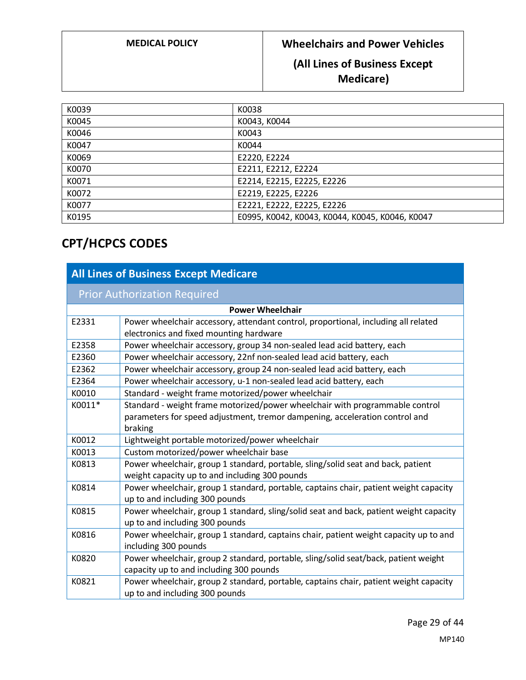# **(All Lines of Business Except Medicare)**

| K0039 | K0038                                           |
|-------|-------------------------------------------------|
| K0045 | K0043, K0044                                    |
| K0046 | K0043                                           |
| K0047 | K0044                                           |
| K0069 | E2220, E2224                                    |
| K0070 | E2211, E2212, E2224                             |
| K0071 | E2214, E2215, E2225, E2226                      |
| K0072 | E2219, E2225, E2226                             |
| K0077 | E2221, E2222, E2225, E2226                      |
| K0195 | E0995, K0042, K0043, K0044, K0045, K0046, K0047 |

# **CPT/HCPCS CODES**

| <b>All Lines of Business Except Medicare</b> |                                                                                                                                                                        |  |
|----------------------------------------------|------------------------------------------------------------------------------------------------------------------------------------------------------------------------|--|
| <b>Prior Authorization Required</b>          |                                                                                                                                                                        |  |
|                                              | <b>Power Wheelchair</b>                                                                                                                                                |  |
| E2331                                        | Power wheelchair accessory, attendant control, proportional, including all related<br>electronics and fixed mounting hardware                                          |  |
| E2358                                        | Power wheelchair accessory, group 34 non-sealed lead acid battery, each                                                                                                |  |
| E2360                                        | Power wheelchair accessory, 22nf non-sealed lead acid battery, each                                                                                                    |  |
| E2362                                        | Power wheelchair accessory, group 24 non-sealed lead acid battery, each                                                                                                |  |
| E2364                                        | Power wheelchair accessory, u-1 non-sealed lead acid battery, each                                                                                                     |  |
| K0010                                        | Standard - weight frame motorized/power wheelchair                                                                                                                     |  |
| K0011*                                       | Standard - weight frame motorized/power wheelchair with programmable control<br>parameters for speed adjustment, tremor dampening, acceleration control and<br>braking |  |
| K0012                                        | Lightweight portable motorized/power wheelchair                                                                                                                        |  |
| K0013                                        | Custom motorized/power wheelchair base                                                                                                                                 |  |
| K0813                                        | Power wheelchair, group 1 standard, portable, sling/solid seat and back, patient<br>weight capacity up to and including 300 pounds                                     |  |
| K0814                                        | Power wheelchair, group 1 standard, portable, captains chair, patient weight capacity<br>up to and including 300 pounds                                                |  |
| K0815                                        | Power wheelchair, group 1 standard, sling/solid seat and back, patient weight capacity<br>up to and including 300 pounds                                               |  |
| K0816                                        | Power wheelchair, group 1 standard, captains chair, patient weight capacity up to and<br>including 300 pounds                                                          |  |
| K0820                                        | Power wheelchair, group 2 standard, portable, sling/solid seat/back, patient weight<br>capacity up to and including 300 pounds                                         |  |
| K0821                                        | Power wheelchair, group 2 standard, portable, captains chair, patient weight capacity<br>up to and including 300 pounds                                                |  |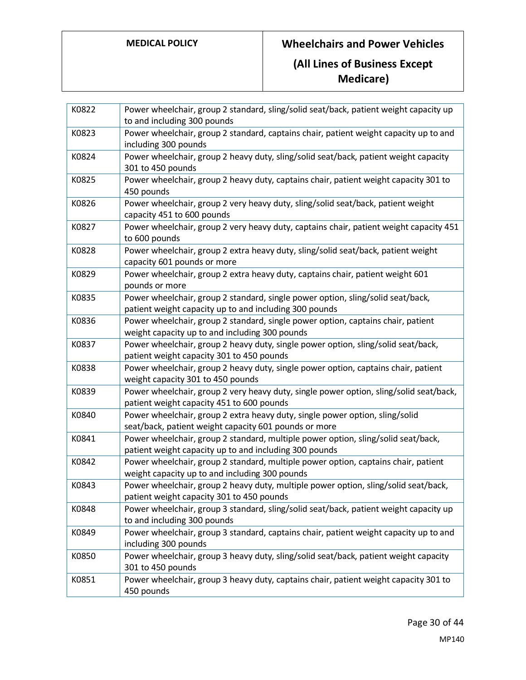**Medicare)**

| K0822 | Power wheelchair, group 2 standard, sling/solid seat/back, patient weight capacity up<br>to and including 300 pounds                        |
|-------|---------------------------------------------------------------------------------------------------------------------------------------------|
| K0823 | Power wheelchair, group 2 standard, captains chair, patient weight capacity up to and<br>including 300 pounds                               |
| K0824 | Power wheelchair, group 2 heavy duty, sling/solid seat/back, patient weight capacity<br>301 to 450 pounds                                   |
| K0825 | Power wheelchair, group 2 heavy duty, captains chair, patient weight capacity 301 to<br>450 pounds                                          |
| K0826 | Power wheelchair, group 2 very heavy duty, sling/solid seat/back, patient weight<br>capacity 451 to 600 pounds                              |
| K0827 | Power wheelchair, group 2 very heavy duty, captains chair, patient weight capacity 451<br>to 600 pounds                                     |
| K0828 | Power wheelchair, group 2 extra heavy duty, sling/solid seat/back, patient weight<br>capacity 601 pounds or more                            |
| K0829 | Power wheelchair, group 2 extra heavy duty, captains chair, patient weight 601<br>pounds or more                                            |
| K0835 | Power wheelchair, group 2 standard, single power option, sling/solid seat/back,<br>patient weight capacity up to and including 300 pounds   |
| K0836 | Power wheelchair, group 2 standard, single power option, captains chair, patient<br>weight capacity up to and including 300 pounds          |
| K0837 | Power wheelchair, group 2 heavy duty, single power option, sling/solid seat/back,<br>patient weight capacity 301 to 450 pounds              |
| K0838 | Power wheelchair, group 2 heavy duty, single power option, captains chair, patient<br>weight capacity 301 to 450 pounds                     |
| K0839 | Power wheelchair, group 2 very heavy duty, single power option, sling/solid seat/back,<br>patient weight capacity 451 to 600 pounds         |
| K0840 | Power wheelchair, group 2 extra heavy duty, single power option, sling/solid<br>seat/back, patient weight capacity 601 pounds or more       |
| K0841 | Power wheelchair, group 2 standard, multiple power option, sling/solid seat/back,<br>patient weight capacity up to and including 300 pounds |
| K0842 | Power wheelchair, group 2 standard, multiple power option, captains chair, patient<br>weight capacity up to and including 300 pounds        |
| K0843 | Power wheelchair, group 2 heavy duty, multiple power option, sling/solid seat/back,<br>patient weight capacity 301 to 450 pounds            |
| K0848 | Power wheelchair, group 3 standard, sling/solid seat/back, patient weight capacity up<br>to and including 300 pounds                        |
| K0849 | Power wheelchair, group 3 standard, captains chair, patient weight capacity up to and<br>including 300 pounds                               |
| K0850 | Power wheelchair, group 3 heavy duty, sling/solid seat/back, patient weight capacity<br>301 to 450 pounds                                   |
| K0851 | Power wheelchair, group 3 heavy duty, captains chair, patient weight capacity 301 to<br>450 pounds                                          |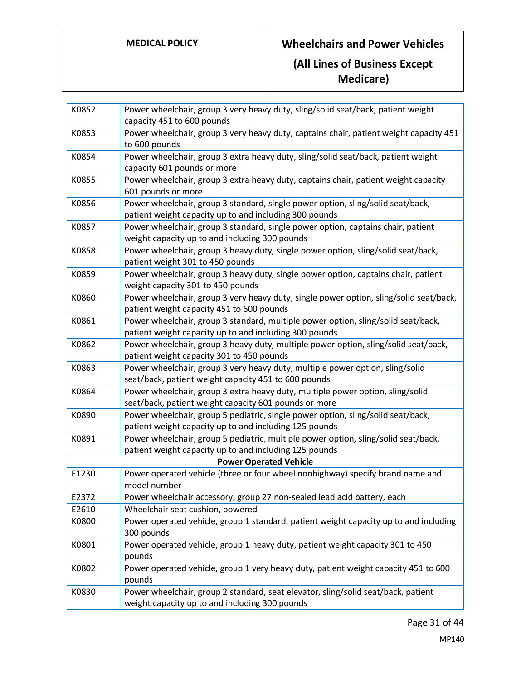| K0852 | Power wheelchair, group 3 very heavy duty, sling/solid seat/back, patient weight<br>capacity 451 to 600 pounds                               |
|-------|----------------------------------------------------------------------------------------------------------------------------------------------|
| K0853 | Power wheelchair, group 3 very heavy duty, captains chair, patient weight capacity 451<br>to 600 pounds                                      |
| K0854 | Power wheelchair, group 3 extra heavy duty, sling/solid seat/back, patient weight<br>capacity 601 pounds or more                             |
| K0855 | Power wheelchair, group 3 extra heavy duty, captains chair, patient weight capacity<br>601 pounds or more                                    |
| K0856 | Power wheelchair, group 3 standard, single power option, sling/solid seat/back,<br>patient weight capacity up to and including 300 pounds    |
| K0857 | Power wheelchair, group 3 standard, single power option, captains chair, patient<br>weight capacity up to and including 300 pounds           |
| K0858 | Power wheelchair, group 3 heavy duty, single power option, sling/solid seat/back,<br>patient weight 301 to 450 pounds                        |
| K0859 | Power wheelchair, group 3 heavy duty, single power option, captains chair, patient<br>weight capacity 301 to 450 pounds                      |
| K0860 | Power wheelchair, group 3 very heavy duty, single power option, sling/solid seat/back,<br>patient weight capacity 451 to 600 pounds          |
| K0861 | Power wheelchair, group 3 standard, multiple power option, sling/solid seat/back,<br>patient weight capacity up to and including 300 pounds  |
| K0862 | Power wheelchair, group 3 heavy duty, multiple power option, sling/solid seat/back,<br>patient weight capacity 301 to 450 pounds             |
| K0863 | Power wheelchair, group 3 very heavy duty, multiple power option, sling/solid<br>seat/back, patient weight capacity 451 to 600 pounds        |
| K0864 | Power wheelchair, group 3 extra heavy duty, multiple power option, sling/solid<br>seat/back, patient weight capacity 601 pounds or more      |
| K0890 | Power wheelchair, group 5 pediatric, single power option, sling/solid seat/back,<br>patient weight capacity up to and including 125 pounds   |
| K0891 | Power wheelchair, group 5 pediatric, multiple power option, sling/solid seat/back,<br>patient weight capacity up to and including 125 pounds |
|       | <b>Power Operated Vehicle</b>                                                                                                                |
| E1230 | Power operated vehicle (three or four wheel nonhighway) specify brand name and<br>model number                                               |
| E2372 | Power wheelchair accessory, group 27 non-sealed lead acid battery, each                                                                      |
| E2610 | Wheelchair seat cushion, powered                                                                                                             |
| K0800 | Power operated vehicle, group 1 standard, patient weight capacity up to and including<br>300 pounds                                          |
| K0801 | Power operated vehicle, group 1 heavy duty, patient weight capacity 301 to 450<br>pounds                                                     |
| K0802 | Power operated vehicle, group 1 very heavy duty, patient weight capacity 451 to 600<br>pounds                                                |
| K0830 | Power wheelchair, group 2 standard, seat elevator, sling/solid seat/back, patient<br>weight capacity up to and including 300 pounds          |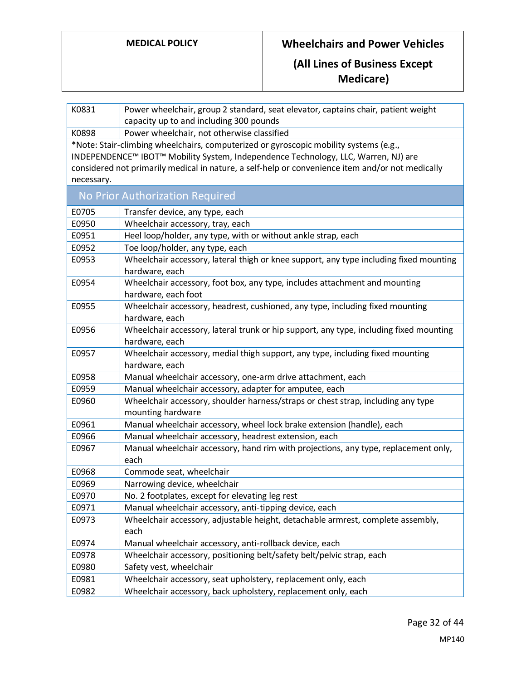| K0831      | Power wheelchair, group 2 standard, seat elevator, captains chair, patient weight<br>capacity up to and including 300 pounds                                                                                                                                                    |  |
|------------|---------------------------------------------------------------------------------------------------------------------------------------------------------------------------------------------------------------------------------------------------------------------------------|--|
| K0898      | Power wheelchair, not otherwise classified                                                                                                                                                                                                                                      |  |
| necessary. | *Note: Stair-climbing wheelchairs, computerized or gyroscopic mobility systems (e.g.,<br>INDEPENDENCE™ IBOT™ Mobility System, Independence Technology, LLC, Warren, NJ) are<br>considered not primarily medical in nature, a self-help or convenience item and/or not medically |  |
|            | No Prior Authorization Required                                                                                                                                                                                                                                                 |  |
| E0705      | Transfer device, any type, each                                                                                                                                                                                                                                                 |  |
| E0950      | Wheelchair accessory, tray, each                                                                                                                                                                                                                                                |  |
| E0951      | Heel loop/holder, any type, with or without ankle strap, each                                                                                                                                                                                                                   |  |
| E0952      | Toe loop/holder, any type, each                                                                                                                                                                                                                                                 |  |
| E0953      | Wheelchair accessory, lateral thigh or knee support, any type including fixed mounting<br>hardware, each                                                                                                                                                                        |  |
| E0954      | Wheelchair accessory, foot box, any type, includes attachment and mounting<br>hardware, each foot                                                                                                                                                                               |  |
| E0955      | Wheelchair accessory, headrest, cushioned, any type, including fixed mounting<br>hardware, each                                                                                                                                                                                 |  |
| E0956      | Wheelchair accessory, lateral trunk or hip support, any type, including fixed mounting<br>hardware, each                                                                                                                                                                        |  |
| E0957      | Wheelchair accessory, medial thigh support, any type, including fixed mounting<br>hardware, each                                                                                                                                                                                |  |
| E0958      | Manual wheelchair accessory, one-arm drive attachment, each                                                                                                                                                                                                                     |  |
| E0959      | Manual wheelchair accessory, adapter for amputee, each                                                                                                                                                                                                                          |  |
| E0960      | Wheelchair accessory, shoulder harness/straps or chest strap, including any type<br>mounting hardware                                                                                                                                                                           |  |
| E0961      | Manual wheelchair accessory, wheel lock brake extension (handle), each                                                                                                                                                                                                          |  |
| E0966      | Manual wheelchair accessory, headrest extension, each                                                                                                                                                                                                                           |  |
| E0967      | Manual wheelchair accessory, hand rim with projections, any type, replacement only,<br>each                                                                                                                                                                                     |  |
| E0968      | Commode seat, wheelchair                                                                                                                                                                                                                                                        |  |
| E0969      | Narrowing device, wheelchair                                                                                                                                                                                                                                                    |  |
| E0970      | No. 2 footplates, except for elevating leg rest                                                                                                                                                                                                                                 |  |
| E0971      | Manual wheelchair accessory, anti-tipping device, each                                                                                                                                                                                                                          |  |
| E0973      | Wheelchair accessory, adjustable height, detachable armrest, complete assembly,<br>each                                                                                                                                                                                         |  |
| E0974      | Manual wheelchair accessory, anti-rollback device, each                                                                                                                                                                                                                         |  |
| E0978      | Wheelchair accessory, positioning belt/safety belt/pelvic strap, each                                                                                                                                                                                                           |  |
| E0980      | Safety vest, wheelchair                                                                                                                                                                                                                                                         |  |
| E0981      | Wheelchair accessory, seat upholstery, replacement only, each                                                                                                                                                                                                                   |  |
| E0982      | Wheelchair accessory, back upholstery, replacement only, each                                                                                                                                                                                                                   |  |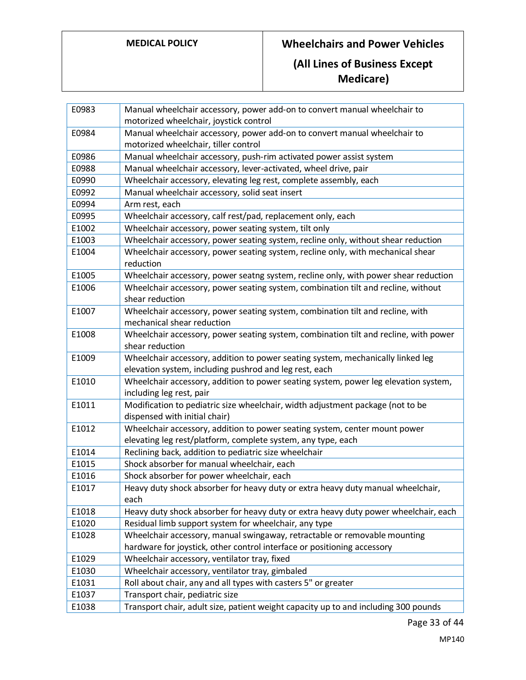| E0983 | Manual wheelchair accessory, power add-on to convert manual wheelchair to            |
|-------|--------------------------------------------------------------------------------------|
|       | motorized wheelchair, joystick control                                               |
| E0984 | Manual wheelchair accessory, power add-on to convert manual wheelchair to            |
|       | motorized wheelchair, tiller control                                                 |
| E0986 | Manual wheelchair accessory, push-rim activated power assist system                  |
| E0988 | Manual wheelchair accessory, lever-activated, wheel drive, pair                      |
| E0990 | Wheelchair accessory, elevating leg rest, complete assembly, each                    |
| E0992 | Manual wheelchair accessory, solid seat insert                                       |
| E0994 | Arm rest, each                                                                       |
| E0995 | Wheelchair accessory, calf rest/pad, replacement only, each                          |
| E1002 | Wheelchair accessory, power seating system, tilt only                                |
| E1003 | Wheelchair accessory, power seating system, recline only, without shear reduction    |
| E1004 | Wheelchair accessory, power seating system, recline only, with mechanical shear      |
|       | reduction                                                                            |
| E1005 | Wheelchair accessory, power seatng system, recline only, with power shear reduction  |
| E1006 | Wheelchair accessory, power seating system, combination tilt and recline, without    |
|       | shear reduction                                                                      |
| E1007 | Wheelchair accessory, power seating system, combination tilt and recline, with       |
|       | mechanical shear reduction                                                           |
| E1008 | Wheelchair accessory, power seating system, combination tilt and recline, with power |
|       | shear reduction                                                                      |
| E1009 | Wheelchair accessory, addition to power seating system, mechanically linked leg      |
|       | elevation system, including pushrod and leg rest, each                               |
| E1010 | Wheelchair accessory, addition to power seating system, power leg elevation system,  |
|       | including leg rest, pair                                                             |
| E1011 | Modification to pediatric size wheelchair, width adjustment package (not to be       |
|       | dispensed with initial chair)                                                        |
| E1012 | Wheelchair accessory, addition to power seating system, center mount power           |
|       | elevating leg rest/platform, complete system, any type, each                         |
| E1014 | Reclining back, addition to pediatric size wheelchair                                |
| E1015 | Shock absorber for manual wheelchair, each                                           |
| E1016 | Shock absorber for power wheelchair, each                                            |
| E1017 | Heavy duty shock absorber for heavy duty or extra heavy duty manual wheelchair,      |
|       | each                                                                                 |
| E1018 | Heavy duty shock absorber for heavy duty or extra heavy duty power wheelchair, each  |
| E1020 | Residual limb support system for wheelchair, any type                                |
| E1028 | Wheelchair accessory, manual swingaway, retractable or removable mounting            |
|       | hardware for joystick, other control interface or positioning accessory              |
| E1029 | Wheelchair accessory, ventilator tray, fixed                                         |
| E1030 | Wheelchair accessory, ventilator tray, gimbaled                                      |
| E1031 | Roll about chair, any and all types with casters 5" or greater                       |
| E1037 | Transport chair, pediatric size                                                      |
| E1038 | Transport chair, adult size, patient weight capacity up to and including 300 pounds  |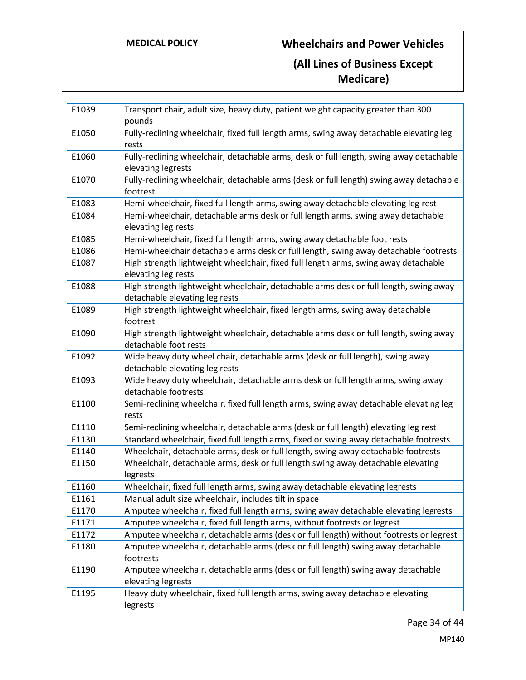# **MEDICAL POLICY Wheelchairs and Power Vehicles (All Lines of Business Except Medicare)**

| E1039 | Transport chair, adult size, heavy duty, patient weight capacity greater than 300<br>pounds                             |
|-------|-------------------------------------------------------------------------------------------------------------------------|
| E1050 | Fully-reclining wheelchair, fixed full length arms, swing away detachable elevating leg<br>rests                        |
| E1060 | Fully-reclining wheelchair, detachable arms, desk or full length, swing away detachable<br>elevating legrests           |
| E1070 | Fully-reclining wheelchair, detachable arms (desk or full length) swing away detachable<br>footrest                     |
| E1083 | Hemi-wheelchair, fixed full length arms, swing away detachable elevating leg rest                                       |
| E1084 | Hemi-wheelchair, detachable arms desk or full length arms, swing away detachable<br>elevating leg rests                 |
| E1085 | Hemi-wheelchair, fixed full length arms, swing away detachable foot rests                                               |
| E1086 | Hemi-wheelchair detachable arms desk or full length, swing away detachable footrests                                    |
| E1087 | High strength lightweight wheelchair, fixed full length arms, swing away detachable<br>elevating leg rests              |
| E1088 | High strength lightweight wheelchair, detachable arms desk or full length, swing away<br>detachable elevating leg rests |
| E1089 | High strength lightweight wheelchair, fixed length arms, swing away detachable<br>footrest                              |
| E1090 | High strength lightweight wheelchair, detachable arms desk or full length, swing away<br>detachable foot rests          |
| E1092 | Wide heavy duty wheel chair, detachable arms (desk or full length), swing away<br>detachable elevating leg rests        |
| E1093 | Wide heavy duty wheelchair, detachable arms desk or full length arms, swing away<br>detachable footrests                |
| E1100 | Semi-reclining wheelchair, fixed full length arms, swing away detachable elevating leg<br>rests                         |
| E1110 | Semi-reclining wheelchair, detachable arms (desk or full length) elevating leg rest                                     |
| E1130 | Standard wheelchair, fixed full length arms, fixed or swing away detachable footrests                                   |
| E1140 | Wheelchair, detachable arms, desk or full length, swing away detachable footrests                                       |
| E1150 | Wheelchair, detachable arms, desk or full length swing away detachable elevating<br>legrests                            |
| E1160 | Wheelchair, fixed full length arms, swing away detachable elevating legrests                                            |
| E1161 | Manual adult size wheelchair, includes tilt in space                                                                    |
| E1170 | Amputee wheelchair, fixed full length arms, swing away detachable elevating legrests                                    |
| E1171 | Amputee wheelchair, fixed full length arms, without footrests or legrest                                                |
| E1172 | Amputee wheelchair, detachable arms (desk or full length) without footrests or legrest                                  |
| E1180 | Amputee wheelchair, detachable arms (desk or full length) swing away detachable<br>footrests                            |
| E1190 | Amputee wheelchair, detachable arms (desk or full length) swing away detachable<br>elevating legrests                   |
| E1195 | Heavy duty wheelchair, fixed full length arms, swing away detachable elevating<br>legrests                              |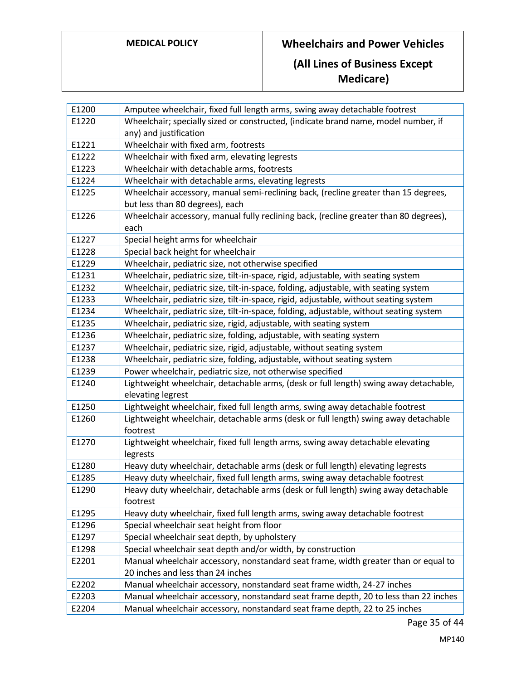| E1200 | Amputee wheelchair, fixed full length arms, swing away detachable footrest             |
|-------|----------------------------------------------------------------------------------------|
| E1220 | Wheelchair; specially sized or constructed, (indicate brand name, model number, if     |
|       | any) and justification                                                                 |
| E1221 | Wheelchair with fixed arm, footrests                                                   |
| E1222 | Wheelchair with fixed arm, elevating legrests                                          |
| E1223 | Wheelchair with detachable arms, footrests                                             |
| E1224 | Wheelchair with detachable arms, elevating legrests                                    |
| E1225 | Wheelchair accessory, manual semi-reclining back, (recline greater than 15 degrees,    |
|       | but less than 80 degrees), each                                                        |
| E1226 | Wheelchair accessory, manual fully reclining back, (recline greater than 80 degrees),  |
|       | each                                                                                   |
| E1227 | Special height arms for wheelchair                                                     |
| E1228 | Special back height for wheelchair                                                     |
| E1229 | Wheelchair, pediatric size, not otherwise specified                                    |
| E1231 | Wheelchair, pediatric size, tilt-in-space, rigid, adjustable, with seating system      |
| E1232 | Wheelchair, pediatric size, tilt-in-space, folding, adjustable, with seating system    |
| E1233 | Wheelchair, pediatric size, tilt-in-space, rigid, adjustable, without seating system   |
| E1234 | Wheelchair, pediatric size, tilt-in-space, folding, adjustable, without seating system |
| E1235 | Wheelchair, pediatric size, rigid, adjustable, with seating system                     |
| E1236 | Wheelchair, pediatric size, folding, adjustable, with seating system                   |
| E1237 | Wheelchair, pediatric size, rigid, adjustable, without seating system                  |
| E1238 | Wheelchair, pediatric size, folding, adjustable, without seating system                |
| E1239 | Power wheelchair, pediatric size, not otherwise specified                              |
| E1240 | Lightweight wheelchair, detachable arms, (desk or full length) swing away detachable,  |
|       | elevating legrest                                                                      |
| E1250 | Lightweight wheelchair, fixed full length arms, swing away detachable footrest         |
| E1260 | Lightweight wheelchair, detachable arms (desk or full length) swing away detachable    |
|       | footrest                                                                               |
| E1270 | Lightweight wheelchair, fixed full length arms, swing away detachable elevating        |
|       | legrests                                                                               |
| E1280 | Heavy duty wheelchair, detachable arms (desk or full length) elevating legrests        |
| E1285 | Heavy duty wheelchair, fixed full length arms, swing away detachable footrest          |
| E1290 | Heavy duty wheelchair, detachable arms (desk or full length) swing away detachable     |
|       | footrest                                                                               |
| E1295 | Heavy duty wheelchair, fixed full length arms, swing away detachable footrest          |
| E1296 | Special wheelchair seat height from floor                                              |
| E1297 | Special wheelchair seat depth, by upholstery                                           |
| E1298 | Special wheelchair seat depth and/or width, by construction                            |
| E2201 | Manual wheelchair accessory, nonstandard seat frame, width greater than or equal to    |
|       | 20 inches and less than 24 inches                                                      |
| E2202 | Manual wheelchair accessory, nonstandard seat frame width, 24-27 inches                |
| E2203 | Manual wheelchair accessory, nonstandard seat frame depth, 20 to less than 22 inches   |
| E2204 | Manual wheelchair accessory, nonstandard seat frame depth, 22 to 25 inches             |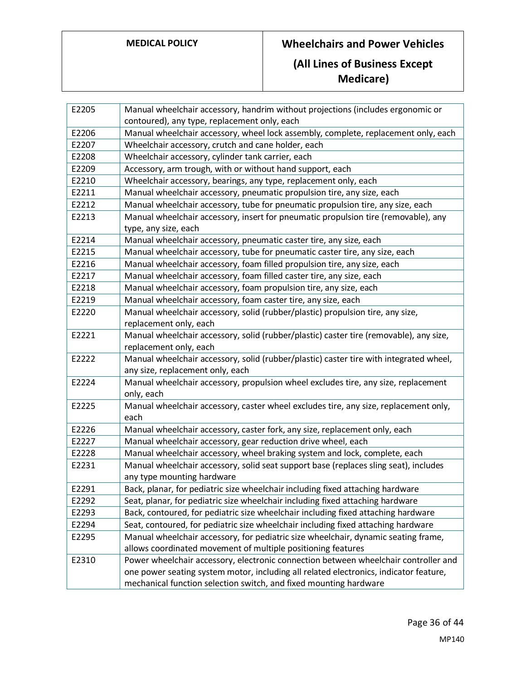| E2205 | Manual wheelchair accessory, handrim without projections (includes ergonomic or        |
|-------|----------------------------------------------------------------------------------------|
|       | contoured), any type, replacement only, each                                           |
| E2206 | Manual wheelchair accessory, wheel lock assembly, complete, replacement only, each     |
| E2207 | Wheelchair accessory, crutch and cane holder, each                                     |
| E2208 | Wheelchair accessory, cylinder tank carrier, each                                      |
| E2209 | Accessory, arm trough, with or without hand support, each                              |
| E2210 | Wheelchair accessory, bearings, any type, replacement only, each                       |
| E2211 | Manual wheelchair accessory, pneumatic propulsion tire, any size, each                 |
| E2212 | Manual wheelchair accessory, tube for pneumatic propulsion tire, any size, each        |
| E2213 | Manual wheelchair accessory, insert for pneumatic propulsion tire (removable), any     |
|       | type, any size, each                                                                   |
| E2214 | Manual wheelchair accessory, pneumatic caster tire, any size, each                     |
| E2215 | Manual wheelchair accessory, tube for pneumatic caster tire, any size, each            |
| E2216 | Manual wheelchair accessory, foam filled propulsion tire, any size, each               |
| E2217 | Manual wheelchair accessory, foam filled caster tire, any size, each                   |
| E2218 | Manual wheelchair accessory, foam propulsion tire, any size, each                      |
| E2219 | Manual wheelchair accessory, foam caster tire, any size, each                          |
| E2220 | Manual wheelchair accessory, solid (rubber/plastic) propulsion tire, any size,         |
|       | replacement only, each                                                                 |
| E2221 | Manual wheelchair accessory, solid (rubber/plastic) caster tire (removable), any size, |
|       | replacement only, each                                                                 |
| E2222 | Manual wheelchair accessory, solid (rubber/plastic) caster tire with integrated wheel, |
|       | any size, replacement only, each                                                       |
| E2224 | Manual wheelchair accessory, propulsion wheel excludes tire, any size, replacement     |
|       | only, each                                                                             |
| E2225 | Manual wheelchair accessory, caster wheel excludes tire, any size, replacement only,   |
|       | each                                                                                   |
| E2226 | Manual wheelchair accessory, caster fork, any size, replacement only, each             |
| E2227 | Manual wheelchair accessory, gear reduction drive wheel, each                          |
| E2228 | Manual wheelchair accessory, wheel braking system and lock, complete, each             |
| E2231 | Manual wheelchair accessory, solid seat support base (replaces sling seat), includes   |
|       | any type mounting hardware                                                             |
| E2291 | Back, planar, for pediatric size wheelchair including fixed attaching hardware         |
| E2292 | Seat, planar, for pediatric size wheelchair including fixed attaching hardware         |
| E2293 | Back, contoured, for pediatric size wheelchair including fixed attaching hardware      |
| E2294 | Seat, contoured, for pediatric size wheelchair including fixed attaching hardware      |
| E2295 | Manual wheelchair accessory, for pediatric size wheelchair, dynamic seating frame,     |
|       | allows coordinated movement of multiple positioning features                           |
| E2310 | Power wheelchair accessory, electronic connection between wheelchair controller and    |
|       | one power seating system motor, including all related electronics, indicator feature,  |
|       | mechanical function selection switch, and fixed mounting hardware                      |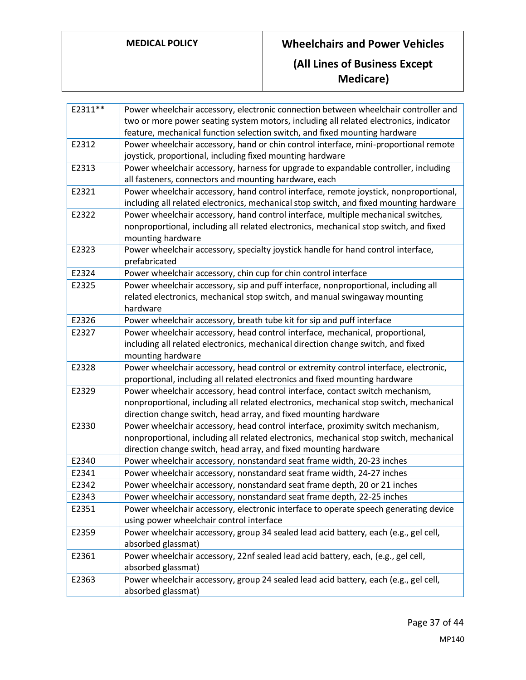| E2311** | Power wheelchair accessory, electronic connection between wheelchair controller and    |
|---------|----------------------------------------------------------------------------------------|
|         | two or more power seating system motors, including all related electronics, indicator  |
|         | feature, mechanical function selection switch, and fixed mounting hardware             |
| E2312   | Power wheelchair accessory, hand or chin control interface, mini-proportional remote   |
|         | joystick, proportional, including fixed mounting hardware                              |
| E2313   | Power wheelchair accessory, harness for upgrade to expandable controller, including    |
|         | all fasteners, connectors and mounting hardware, each                                  |
| E2321   | Power wheelchair accessory, hand control interface, remote joystick, nonproportional,  |
|         | including all related electronics, mechanical stop switch, and fixed mounting hardware |
| E2322   | Power wheelchair accessory, hand control interface, multiple mechanical switches,      |
|         | nonproportional, including all related electronics, mechanical stop switch, and fixed  |
|         | mounting hardware                                                                      |
| E2323   | Power wheelchair accessory, specialty joystick handle for hand control interface,      |
|         | prefabricated                                                                          |
| E2324   | Power wheelchair accessory, chin cup for chin control interface                        |
| E2325   | Power wheelchair accessory, sip and puff interface, nonproportional, including all     |
|         | related electronics, mechanical stop switch, and manual swingaway mounting             |
|         | hardware                                                                               |
| E2326   | Power wheelchair accessory, breath tube kit for sip and puff interface                 |
| E2327   | Power wheelchair accessory, head control interface, mechanical, proportional,          |
|         | including all related electronics, mechanical direction change switch, and fixed       |
|         | mounting hardware                                                                      |
| E2328   | Power wheelchair accessory, head control or extremity control interface, electronic,   |
|         | proportional, including all related electronics and fixed mounting hardware            |
| E2329   | Power wheelchair accessory, head control interface, contact switch mechanism,          |
|         | nonproportional, including all related electronics, mechanical stop switch, mechanical |
|         | direction change switch, head array, and fixed mounting hardware                       |
| E2330   | Power wheelchair accessory, head control interface, proximity switch mechanism,        |
|         | nonproportional, including all related electronics, mechanical stop switch, mechanical |
|         | direction change switch, head array, and fixed mounting hardware                       |
| E2340   | Power wheelchair accessory, nonstandard seat frame width, 20-23 inches                 |
| E2341   | Power wheelchair accessory, nonstandard seat frame width, 24-27 inches                 |
| E2342   | Power wheelchair accessory, nonstandard seat frame depth, 20 or 21 inches              |
| E2343   | Power wheelchair accessory, nonstandard seat frame depth, 22-25 inches                 |
| E2351   | Power wheelchair accessory, electronic interface to operate speech generating device   |
|         | using power wheelchair control interface                                               |
| E2359   | Power wheelchair accessory, group 34 sealed lead acid battery, each (e.g., gel cell,   |
|         | absorbed glassmat)                                                                     |
| E2361   | Power wheelchair accessory, 22nf sealed lead acid battery, each, (e.g., gel cell,      |
|         | absorbed glassmat)                                                                     |
| E2363   | Power wheelchair accessory, group 24 sealed lead acid battery, each (e.g., gel cell,   |
|         | absorbed glassmat)                                                                     |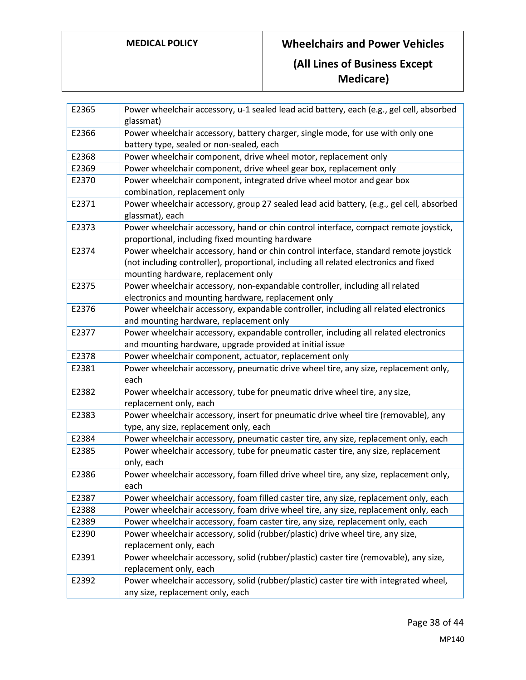| E2365 | Power wheelchair accessory, u-1 sealed lead acid battery, each (e.g., gel cell, absorbed<br>glassmat)                                                                                                                |
|-------|----------------------------------------------------------------------------------------------------------------------------------------------------------------------------------------------------------------------|
| E2366 | Power wheelchair accessory, battery charger, single mode, for use with only one<br>battery type, sealed or non-sealed, each                                                                                          |
| E2368 | Power wheelchair component, drive wheel motor, replacement only                                                                                                                                                      |
| E2369 | Power wheelchair component, drive wheel gear box, replacement only                                                                                                                                                   |
| E2370 | Power wheelchair component, integrated drive wheel motor and gear box<br>combination, replacement only                                                                                                               |
| E2371 | Power wheelchair accessory, group 27 sealed lead acid battery, (e.g., gel cell, absorbed<br>glassmat), each                                                                                                          |
| E2373 | Power wheelchair accessory, hand or chin control interface, compact remote joystick,<br>proportional, including fixed mounting hardware                                                                              |
| E2374 | Power wheelchair accessory, hand or chin control interface, standard remote joystick<br>(not including controller), proportional, including all related electronics and fixed<br>mounting hardware, replacement only |
| E2375 | Power wheelchair accessory, non-expandable controller, including all related<br>electronics and mounting hardware, replacement only                                                                                  |
| E2376 | Power wheelchair accessory, expandable controller, including all related electronics<br>and mounting hardware, replacement only                                                                                      |
| E2377 | Power wheelchair accessory, expandable controller, including all related electronics<br>and mounting hardware, upgrade provided at initial issue                                                                     |
| E2378 | Power wheelchair component, actuator, replacement only                                                                                                                                                               |
| E2381 | Power wheelchair accessory, pneumatic drive wheel tire, any size, replacement only,<br>each                                                                                                                          |
| E2382 | Power wheelchair accessory, tube for pneumatic drive wheel tire, any size,<br>replacement only, each                                                                                                                 |
| E2383 | Power wheelchair accessory, insert for pneumatic drive wheel tire (removable), any<br>type, any size, replacement only, each                                                                                         |
| E2384 | Power wheelchair accessory, pneumatic caster tire, any size, replacement only, each                                                                                                                                  |
| E2385 | Power wheelchair accessory, tube for pneumatic caster tire, any size, replacement<br>only, each                                                                                                                      |
| E2386 | Power wheelchair accessory, foam filled drive wheel tire, any size, replacement only,<br>each                                                                                                                        |
| E2387 | Power wheelchair accessory, foam filled caster tire, any size, replacement only, each                                                                                                                                |
| E2388 | Power wheelchair accessory, foam drive wheel tire, any size, replacement only, each                                                                                                                                  |
| E2389 | Power wheelchair accessory, foam caster tire, any size, replacement only, each                                                                                                                                       |
| E2390 | Power wheelchair accessory, solid (rubber/plastic) drive wheel tire, any size,<br>replacement only, each                                                                                                             |
| E2391 | Power wheelchair accessory, solid (rubber/plastic) caster tire (removable), any size,<br>replacement only, each                                                                                                      |
| E2392 | Power wheelchair accessory, solid (rubber/plastic) caster tire with integrated wheel,                                                                                                                                |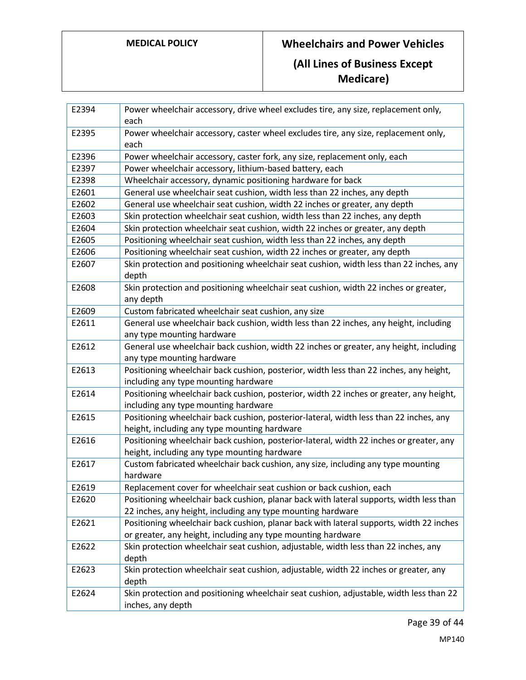# **MEDICAL POLICY Wheelchairs and Power Vehicles (All Lines of Business Except**

**Medicare)**

| E2394 | Power wheelchair accessory, drive wheel excludes tire, any size, replacement only,<br>each                                              |
|-------|-----------------------------------------------------------------------------------------------------------------------------------------|
| E2395 | Power wheelchair accessory, caster wheel excludes tire, any size, replacement only,<br>each                                             |
| E2396 | Power wheelchair accessory, caster fork, any size, replacement only, each                                                               |
| E2397 | Power wheelchair accessory, lithium-based battery, each                                                                                 |
| E2398 | Wheelchair accessory, dynamic positioning hardware for back                                                                             |
| E2601 | General use wheelchair seat cushion, width less than 22 inches, any depth                                                               |
| E2602 | General use wheelchair seat cushion, width 22 inches or greater, any depth                                                              |
| E2603 | Skin protection wheelchair seat cushion, width less than 22 inches, any depth                                                           |
| E2604 | Skin protection wheelchair seat cushion, width 22 inches or greater, any depth                                                          |
| E2605 | Positioning wheelchair seat cushion, width less than 22 inches, any depth                                                               |
| E2606 | Positioning wheelchair seat cushion, width 22 inches or greater, any depth                                                              |
| E2607 | Skin protection and positioning wheelchair seat cushion, width less than 22 inches, any<br>depth                                        |
| E2608 | Skin protection and positioning wheelchair seat cushion, width 22 inches or greater,<br>any depth                                       |
| E2609 | Custom fabricated wheelchair seat cushion, any size                                                                                     |
| E2611 | General use wheelchair back cushion, width less than 22 inches, any height, including                                                   |
|       | any type mounting hardware                                                                                                              |
| E2612 | General use wheelchair back cushion, width 22 inches or greater, any height, including                                                  |
|       | any type mounting hardware                                                                                                              |
| E2613 | Positioning wheelchair back cushion, posterior, width less than 22 inches, any height,                                                  |
|       | including any type mounting hardware                                                                                                    |
| E2614 | Positioning wheelchair back cushion, posterior, width 22 inches or greater, any height,                                                 |
|       | including any type mounting hardware                                                                                                    |
| E2615 | Positioning wheelchair back cushion, posterior-lateral, width less than 22 inches, any<br>height, including any type mounting hardware  |
| E2616 | Positioning wheelchair back cushion, posterior-lateral, width 22 inches or greater, any<br>height, including any type mounting hardware |
| E2617 | Custom fabricated wheelchair back cushion, any size, including any type mounting<br>hardware                                            |
| E2619 | Replacement cover for wheelchair seat cushion or back cushion, each                                                                     |
| E2620 | Positioning wheelchair back cushion, planar back with lateral supports, width less than                                                 |
|       | 22 inches, any height, including any type mounting hardware                                                                             |
| E2621 | Positioning wheelchair back cushion, planar back with lateral supports, width 22 inches                                                 |
|       | or greater, any height, including any type mounting hardware                                                                            |
| E2622 | Skin protection wheelchair seat cushion, adjustable, width less than 22 inches, any<br>depth                                            |
| E2623 | Skin protection wheelchair seat cushion, adjustable, width 22 inches or greater, any<br>depth                                           |
| E2624 | Skin protection and positioning wheelchair seat cushion, adjustable, width less than 22                                                 |
|       | inches, any depth                                                                                                                       |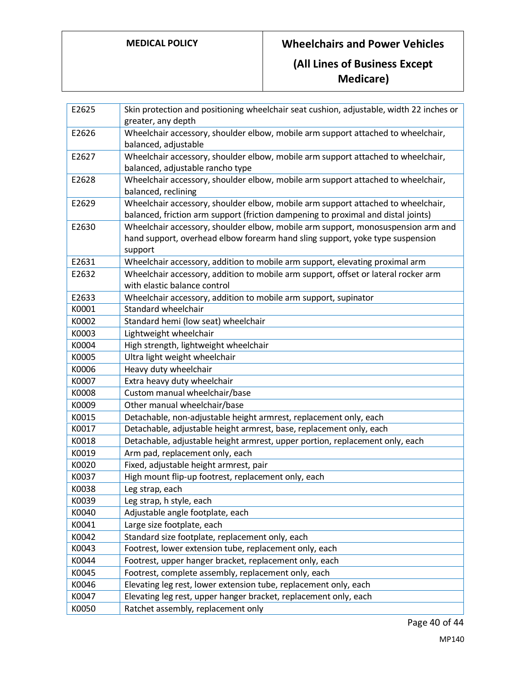| E2625 | Skin protection and positioning wheelchair seat cushion, adjustable, width 22 inches or<br>greater, any depth                                                                |
|-------|------------------------------------------------------------------------------------------------------------------------------------------------------------------------------|
| E2626 | Wheelchair accessory, shoulder elbow, mobile arm support attached to wheelchair,<br>balanced, adjustable                                                                     |
| E2627 | Wheelchair accessory, shoulder elbow, mobile arm support attached to wheelchair,<br>balanced, adjustable rancho type                                                         |
| E2628 | Wheelchair accessory, shoulder elbow, mobile arm support attached to wheelchair,<br>balanced, reclining                                                                      |
| E2629 | Wheelchair accessory, shoulder elbow, mobile arm support attached to wheelchair,<br>balanced, friction arm support (friction dampening to proximal and distal joints)        |
| E2630 | Wheelchair accessory, shoulder elbow, mobile arm support, monosuspension arm and<br>hand support, overhead elbow forearm hand sling support, yoke type suspension<br>support |
| E2631 | Wheelchair accessory, addition to mobile arm support, elevating proximal arm                                                                                                 |
| E2632 | Wheelchair accessory, addition to mobile arm support, offset or lateral rocker arm<br>with elastic balance control                                                           |
| E2633 | Wheelchair accessory, addition to mobile arm support, supinator                                                                                                              |
| K0001 | Standard wheelchair                                                                                                                                                          |
| K0002 | Standard hemi (low seat) wheelchair                                                                                                                                          |
| K0003 | Lightweight wheelchair                                                                                                                                                       |
| K0004 | High strength, lightweight wheelchair                                                                                                                                        |
| K0005 | Ultra light weight wheelchair                                                                                                                                                |
| K0006 | Heavy duty wheelchair                                                                                                                                                        |
| K0007 | Extra heavy duty wheelchair                                                                                                                                                  |
| K0008 | Custom manual wheelchair/base                                                                                                                                                |
| K0009 | Other manual wheelchair/base                                                                                                                                                 |
| K0015 | Detachable, non-adjustable height armrest, replacement only, each                                                                                                            |
| K0017 | Detachable, adjustable height armrest, base, replacement only, each                                                                                                          |
| K0018 | Detachable, adjustable height armrest, upper portion, replacement only, each                                                                                                 |
| K0019 | Arm pad, replacement only, each                                                                                                                                              |
| K0020 | Fixed, adjustable height armrest, pair                                                                                                                                       |
| K0037 | High mount flip-up footrest, replacement only, each                                                                                                                          |
| K0038 | Leg strap, each                                                                                                                                                              |
| K0039 | Leg strap, h style, each                                                                                                                                                     |
| K0040 | Adjustable angle footplate, each                                                                                                                                             |
| K0041 | Large size footplate, each                                                                                                                                                   |
| K0042 | Standard size footplate, replacement only, each                                                                                                                              |
| K0043 | Footrest, lower extension tube, replacement only, each                                                                                                                       |
| K0044 | Footrest, upper hanger bracket, replacement only, each                                                                                                                       |
| K0045 | Footrest, complete assembly, replacement only, each                                                                                                                          |
| K0046 | Elevating leg rest, lower extension tube, replacement only, each                                                                                                             |
| K0047 | Elevating leg rest, upper hanger bracket, replacement only, each                                                                                                             |
| K0050 | Ratchet assembly, replacement only                                                                                                                                           |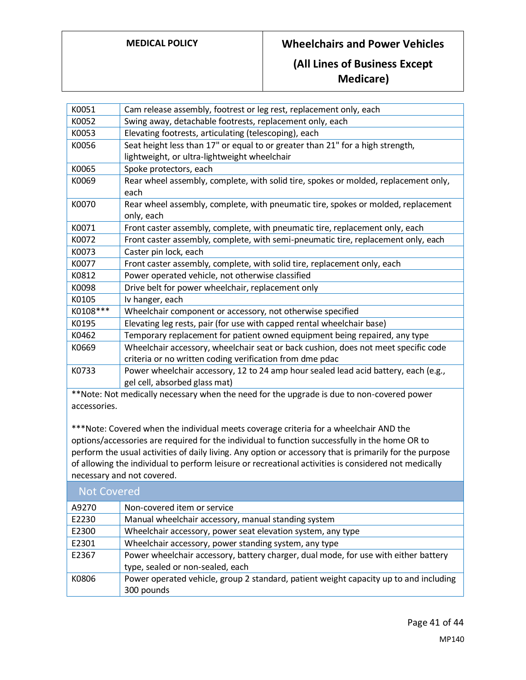## **(All Lines of Business Except Medicare)**

| K0051                                                                                     | Cam release assembly, footrest or leg rest, replacement only, each                  |
|-------------------------------------------------------------------------------------------|-------------------------------------------------------------------------------------|
| K0052                                                                                     | Swing away, detachable footrests, replacement only, each                            |
| K0053                                                                                     | Elevating footrests, articulating (telescoping), each                               |
| K0056                                                                                     | Seat height less than 17" or equal to or greater than 21" for a high strength,      |
|                                                                                           | lightweight, or ultra-lightweight wheelchair                                        |
| K0065                                                                                     | Spoke protectors, each                                                              |
| K0069                                                                                     | Rear wheel assembly, complete, with solid tire, spokes or molded, replacement only, |
|                                                                                           | each                                                                                |
| K0070                                                                                     | Rear wheel assembly, complete, with pneumatic tire, spokes or molded, replacement   |
|                                                                                           | only, each                                                                          |
| K0071                                                                                     | Front caster assembly, complete, with pneumatic tire, replacement only, each        |
| K0072                                                                                     | Front caster assembly, complete, with semi-pneumatic tire, replacement only, each   |
| K0073                                                                                     | Caster pin lock, each                                                               |
| K0077                                                                                     | Front caster assembly, complete, with solid tire, replacement only, each            |
| K0812                                                                                     | Power operated vehicle, not otherwise classified                                    |
| K0098                                                                                     | Drive belt for power wheelchair, replacement only                                   |
| K0105                                                                                     | Iv hanger, each                                                                     |
| K0108***                                                                                  | Wheelchair component or accessory, not otherwise specified                          |
| K0195                                                                                     | Elevating leg rests, pair (for use with capped rental wheelchair base)              |
| K0462                                                                                     | Temporary replacement for patient owned equipment being repaired, any type          |
| K0669                                                                                     | Wheelchair accessory, wheelchair seat or back cushion, does not meet specific code  |
|                                                                                           | criteria or no written coding verification from dme pdac                            |
| K0733                                                                                     | Power wheelchair accessory, 12 to 24 amp hour sealed lead acid battery, each (e.g., |
|                                                                                           | gel cell, absorbed glass mat)                                                       |
| **Note: Not medically necessary when the need for the upgrade is due to non-covered power |                                                                                     |
| accessories.                                                                              |                                                                                     |

\*\*\*Note: Covered when the individual meets coverage criteria for a wheelchair AND the options/accessories are required for the individual to function successfully in the home OR to perform the usual activities of daily living. Any option or accessory that is primarily for the purpose of allowing the individual to perform leisure or recreational activities is considered not medically necessary and not covered.

| <b>Not Covered</b> |                                                                                                                         |
|--------------------|-------------------------------------------------------------------------------------------------------------------------|
| A9270              | Non-covered item or service                                                                                             |
| E2230              | Manual wheelchair accessory, manual standing system                                                                     |
| E2300              | Wheelchair accessory, power seat elevation system, any type                                                             |
| E2301              | Wheelchair accessory, power standing system, any type                                                                   |
| E2367              | Power wheelchair accessory, battery charger, dual mode, for use with either battery<br>type, sealed or non-sealed, each |
| K0806              | Power operated vehicle, group 2 standard, patient weight capacity up to and including<br>300 pounds                     |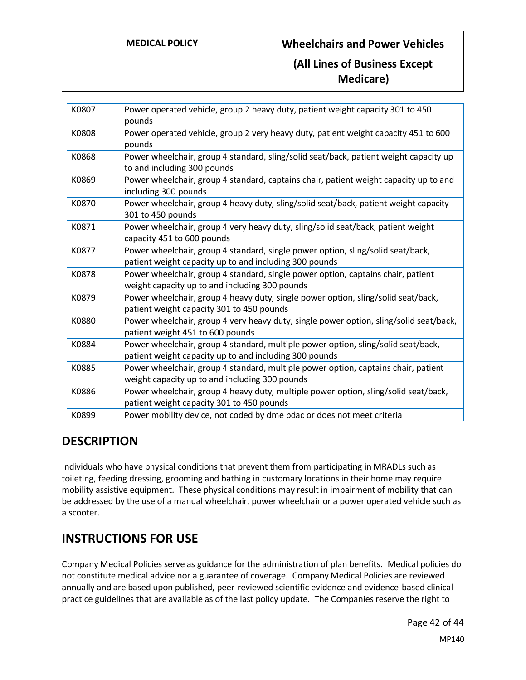**Medicare)**

| K0807 | Power operated vehicle, group 2 heavy duty, patient weight capacity 301 to 450<br>pounds                                                    |
|-------|---------------------------------------------------------------------------------------------------------------------------------------------|
| K0808 | Power operated vehicle, group 2 very heavy duty, patient weight capacity 451 to 600<br>pounds                                               |
| K0868 | Power wheelchair, group 4 standard, sling/solid seat/back, patient weight capacity up<br>to and including 300 pounds                        |
| K0869 | Power wheelchair, group 4 standard, captains chair, patient weight capacity up to and<br>including 300 pounds                               |
| K0870 | Power wheelchair, group 4 heavy duty, sling/solid seat/back, patient weight capacity<br>301 to 450 pounds                                   |
| K0871 | Power wheelchair, group 4 very heavy duty, sling/solid seat/back, patient weight<br>capacity 451 to 600 pounds                              |
| K0877 | Power wheelchair, group 4 standard, single power option, sling/solid seat/back,<br>patient weight capacity up to and including 300 pounds   |
| K0878 | Power wheelchair, group 4 standard, single power option, captains chair, patient<br>weight capacity up to and including 300 pounds          |
| K0879 | Power wheelchair, group 4 heavy duty, single power option, sling/solid seat/back,<br>patient weight capacity 301 to 450 pounds              |
| K0880 | Power wheelchair, group 4 very heavy duty, single power option, sling/solid seat/back,<br>patient weight 451 to 600 pounds                  |
| K0884 | Power wheelchair, group 4 standard, multiple power option, sling/solid seat/back,<br>patient weight capacity up to and including 300 pounds |
| K0885 | Power wheelchair, group 4 standard, multiple power option, captains chair, patient<br>weight capacity up to and including 300 pounds        |
| K0886 | Power wheelchair, group 4 heavy duty, multiple power option, sling/solid seat/back,<br>patient weight capacity 301 to 450 pounds            |
| K0899 | Power mobility device, not coded by dme pdac or does not meet criteria                                                                      |

## **DESCRIPTION**

Individuals who have physical conditions that prevent them from participating in MRADLs such as toileting, feeding dressing, grooming and bathing in customary locations in their home may require mobility assistive equipment. These physical conditions may result in impairment of mobility that can be addressed by the use of a manual wheelchair, power wheelchair or a power operated vehicle such as a scooter.

# **INSTRUCTIONS FOR USE**

Company Medical Policies serve as guidance for the administration of plan benefits. Medical policies do not constitute medical advice nor a guarantee of coverage. Company Medical Policies are reviewed annually and are based upon published, peer-reviewed scientific evidence and evidence-based clinical practice guidelines that are available as of the last policy update. The Companies reserve the right to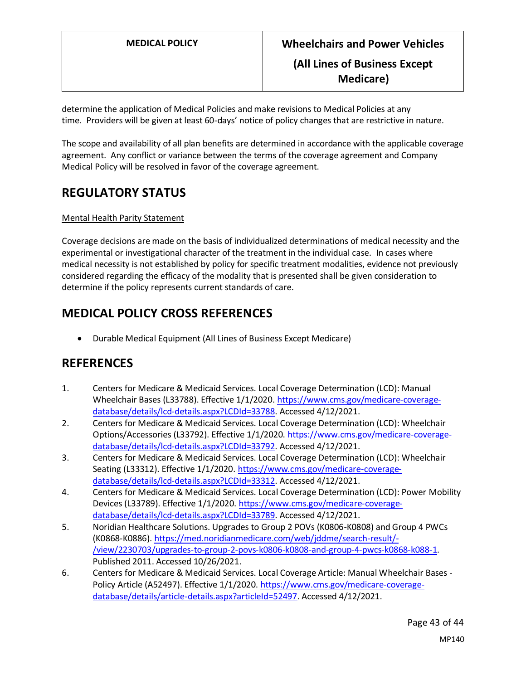determine the application of Medical Policies and make revisions to Medical Policies at any time. Providers will be given at least 60-days' notice of policy changes that are restrictive in nature.

The scope and availability of all plan benefits are determined in accordance with the applicable coverage agreement. Any conflict or variance between the terms of the coverage agreement and Company Medical Policy will be resolved in favor of the coverage agreement.

## **REGULATORY STATUS**

## Mental Health Parity Statement

Coverage decisions are made on the basis of individualized determinations of medical necessity and the experimental or investigational character of the treatment in the individual case. In cases where medical necessity is not established by policy for specific treatment modalities, evidence not previously considered regarding the efficacy of the modality that is presented shall be given consideration to determine if the policy represents current standards of care.

## **MEDICAL POLICY CROSS REFERENCES**

• Durable Medical Equipment (All Lines of Business Except Medicare)

## **REFERENCES**

- 1. Centers for Medicare & Medicaid Services. Local Coverage Determination (LCD): Manual Wheelchair Bases (L33788). Effective 1/1/2020[. https://www.cms.gov/medicare-coverage](https://www.cms.gov/medicare-coverage-database/details/lcd-details.aspx?LCDId=33788)[database/details/lcd-details.aspx?LCDId=33788.](https://www.cms.gov/medicare-coverage-database/details/lcd-details.aspx?LCDId=33788) Accessed 4/12/2021.
- 2. Centers for Medicare & Medicaid Services. Local Coverage Determination (LCD): Wheelchair Options/Accessories (L33792). Effective 1/1/2020[. https://www.cms.gov/medicare-coverage](https://www.cms.gov/medicare-coverage-database/details/lcd-details.aspx?LCDId=33792)[database/details/lcd-details.aspx?LCDId=33792.](https://www.cms.gov/medicare-coverage-database/details/lcd-details.aspx?LCDId=33792) Accessed 4/12/2021.
- 3. Centers for Medicare & Medicaid Services. Local Coverage Determination (LCD): Wheelchair Seating (L33312). Effective 1/1/2020[. https://www.cms.gov/medicare-coverage](https://www.cms.gov/medicare-coverage-database/details/lcd-details.aspx?LCDId=33312)[database/details/lcd-details.aspx?LCDId=33312.](https://www.cms.gov/medicare-coverage-database/details/lcd-details.aspx?LCDId=33312) Accessed 4/12/2021.
- 4. Centers for Medicare & Medicaid Services. Local Coverage Determination (LCD): Power Mobility Devices (L33789). Effective 1/1/2020[. https://www.cms.gov/medicare-coverage](https://www.cms.gov/medicare-coverage-database/details/lcd-details.aspx?LCDId=33789)[database/details/lcd-details.aspx?LCDId=33789.](https://www.cms.gov/medicare-coverage-database/details/lcd-details.aspx?LCDId=33789) Accessed 4/12/2021.
- 5. Noridian Healthcare Solutions. Upgrades to Group 2 POVs (K0806-K0808) and Group 4 PWCs (K0868-K0886)[. https://med.noridianmedicare.com/web/jddme/search-result/-](https://med.noridianmedicare.com/web/jddme/search-result/-/view/2230703/upgrades-to-group-2-povs-k0806-k0808-and-group-4-pwcs-k0868-k088-1) [/view/2230703/upgrades-to-group-2-povs-k0806-k0808-and-group-4-pwcs-k0868-k088-1.](https://med.noridianmedicare.com/web/jddme/search-result/-/view/2230703/upgrades-to-group-2-povs-k0806-k0808-and-group-4-pwcs-k0868-k088-1) Published 2011. Accessed 10/26/2021.
- 6. Centers for Medicare & Medicaid Services. Local Coverage Article: Manual Wheelchair Bases Policy Article (A52497). Effective 1/1/2020. [https://www.cms.gov/medicare-coverage](https://www.cms.gov/medicare-coverage-database/details/article-details.aspx?articleId=52497)[database/details/article-details.aspx?articleId=52497.](https://www.cms.gov/medicare-coverage-database/details/article-details.aspx?articleId=52497) Accessed 4/12/2021.